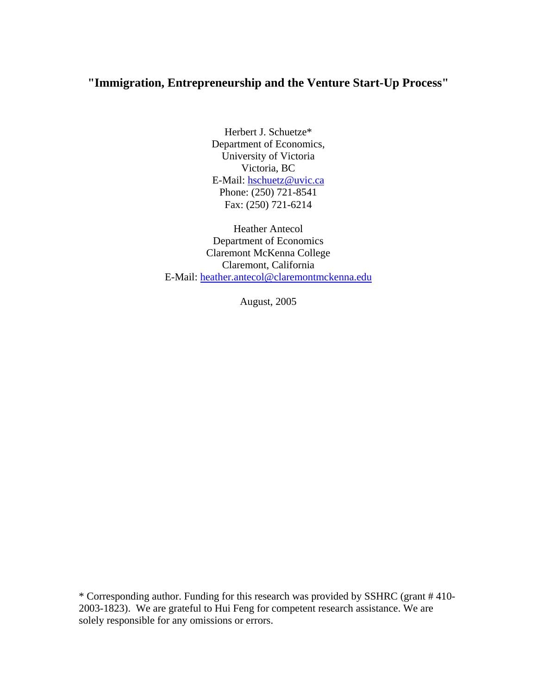# **"Immigration, Entrepreneurship and the Venture Start-Up Process"**

Herbert J. Schuetze\* Department of Economics, University of Victoria Victoria, BC E-Mail: hschuetz@uvic.ca Phone: (250) 721-8541 Fax: (250) 721-6214

Heather Antecol Department of Economics Claremont McKenna College Claremont, California E-Mail: heather.antecol@claremontmckenna.edu

August, 2005

\* Corresponding author. Funding for this research was provided by SSHRC (grant # 410- 2003-1823). We are grateful to Hui Feng for competent research assistance. We are solely responsible for any omissions or errors.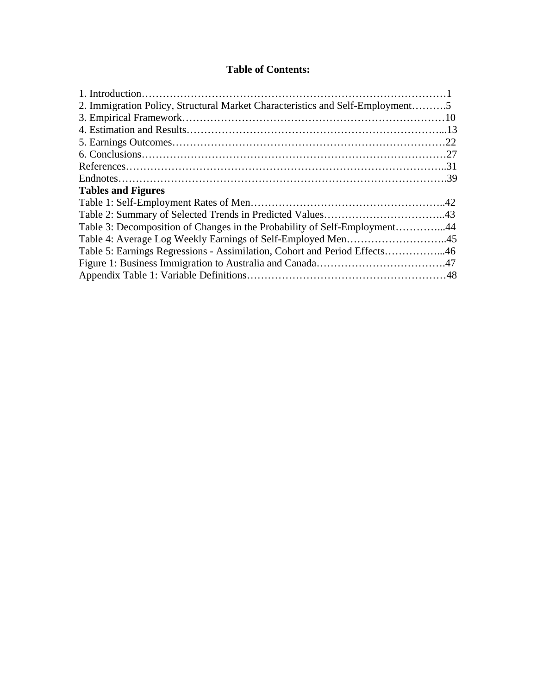# **Table of Contents:**

| 2. Immigration Policy, Structural Market Characteristics and Self-Employment5 |  |
|-------------------------------------------------------------------------------|--|
|                                                                               |  |
|                                                                               |  |
|                                                                               |  |
|                                                                               |  |
|                                                                               |  |
|                                                                               |  |
| <b>Tables and Figures</b>                                                     |  |
|                                                                               |  |
|                                                                               |  |
| Table 3: Decomposition of Changes in the Probability of Self-Employment44     |  |
|                                                                               |  |
| Table 5: Earnings Regressions - Assimilation, Cohort and Period Effects46     |  |
|                                                                               |  |
|                                                                               |  |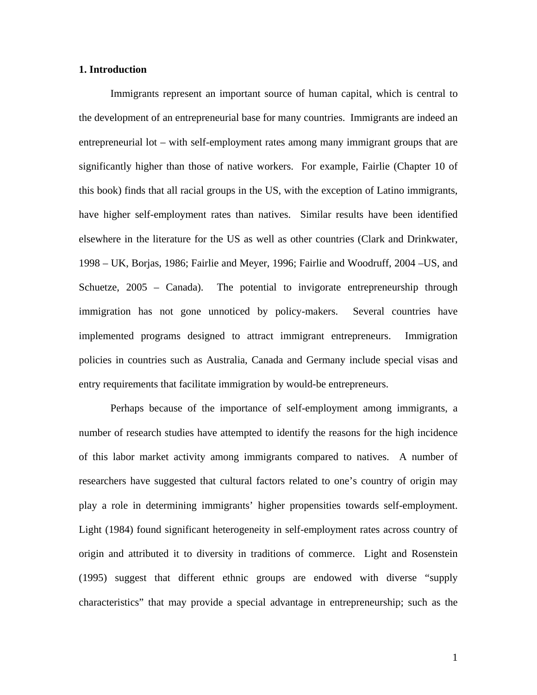### **1. Introduction**

Immigrants represent an important source of human capital, which is central to the development of an entrepreneurial base for many countries. Immigrants are indeed an entrepreneurial lot – with self-employment rates among many immigrant groups that are significantly higher than those of native workers. For example, Fairlie (Chapter 10 of this book) finds that all racial groups in the US, with the exception of Latino immigrants, have higher self-employment rates than natives. Similar results have been identified elsewhere in the literature for the US as well as other countries (Clark and Drinkwater, 1998 – UK, Borjas, 1986; Fairlie and Meyer, 1996; Fairlie and Woodruff, 2004 –US, and Schuetze, 2005 – Canada). The potential to invigorate entrepreneurship through immigration has not gone unnoticed by policy-makers. Several countries have implemented programs designed to attract immigrant entrepreneurs. Immigration policies in countries such as Australia, Canada and Germany include special visas and entry requirements that facilitate immigration by would-be entrepreneurs.

Perhaps because of the importance of self-employment among immigrants, a number of research studies have attempted to identify the reasons for the high incidence of this labor market activity among immigrants compared to natives. A number of researchers have suggested that cultural factors related to one's country of origin may play a role in determining immigrants' higher propensities towards self-employment. Light (1984) found significant heterogeneity in self-employment rates across country of origin and attributed it to diversity in traditions of commerce. Light and Rosenstein (1995) suggest that different ethnic groups are endowed with diverse "supply characteristics" that may provide a special advantage in entrepreneurship; such as the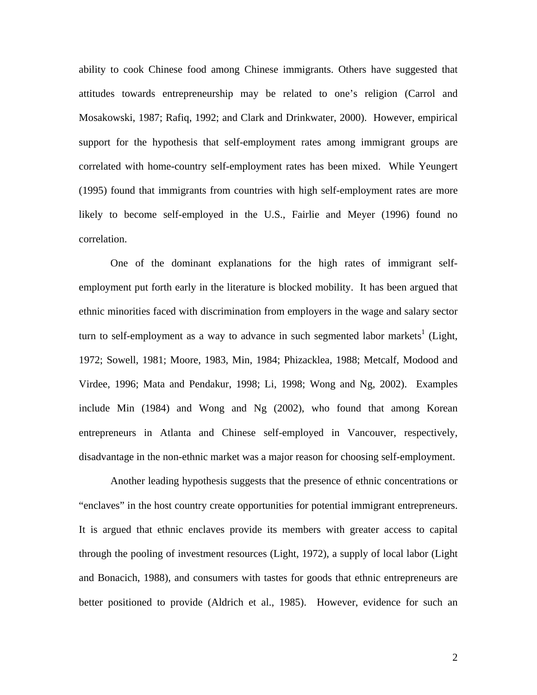ability to cook Chinese food among Chinese immigrants. Others have suggested that attitudes towards entrepreneurship may be related to one's religion (Carrol and Mosakowski, 1987; Rafiq, 1992; and Clark and Drinkwater, 2000). However, empirical support for the hypothesis that self-employment rates among immigrant groups are correlated with home-country self-employment rates has been mixed. While Yeungert (1995) found that immigrants from countries with high self-employment rates are more likely to become self-employed in the U.S., Fairlie and Meyer (1996) found no correlation.

One of the dominant explanations for the high rates of immigrant selfemployment put forth early in the literature is blocked mobility. It has been argued that ethnic minorities faced with discrimination from employers in the wage and salary sector turn to self-employment as a way to advance in such segmented labor markets<sup>1</sup> (Light, 1972; Sowell, 1981; Moore, 1983, Min, 1984; Phizacklea, 1988; Metcalf, Modood and Virdee, 1996; Mata and Pendakur, 1998; Li, 1998; Wong and Ng, 2002). Examples include Min (1984) and Wong and Ng (2002), who found that among Korean entrepreneurs in Atlanta and Chinese self-employed in Vancouver, respectively, disadvantage in the non-ethnic market was a major reason for choosing self-employment.

Another leading hypothesis suggests that the presence of ethnic concentrations or "enclaves" in the host country create opportunities for potential immigrant entrepreneurs. It is argued that ethnic enclaves provide its members with greater access to capital through the pooling of investment resources (Light, 1972), a supply of local labor (Light and Bonacich, 1988), and consumers with tastes for goods that ethnic entrepreneurs are better positioned to provide (Aldrich et al., 1985). However, evidence for such an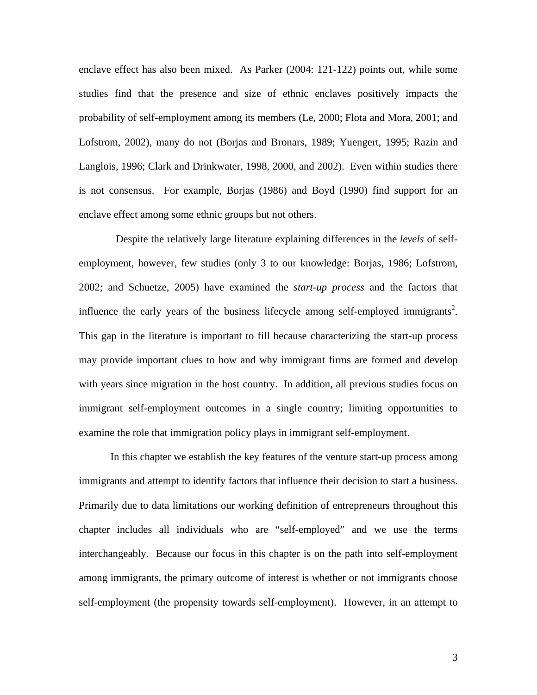enclave effect has also been mixed. As Parker (2004: 121-122) points out, while some studies find that the presence and size of ethnic enclaves positively impacts the probability of self-employment among its members (Le, 2000; Flota and Mora, 2001; and Lofstrom, 2002), many do not (Borjas and Bronars, 1989; Yuengert, 1995; Razin and Langlois, 1996; Clark and Drinkwater, 1998, 2000, and 2002). Even within studies there is not consensus. For example, Borjas (1986) and Boyd (1990) find support for an enclave effect among some ethnic groups but not others.

 Despite the relatively large literature explaining differences in the *levels* of selfemployment, however, few studies (only 3 to our knowledge: Borjas, 1986; Lofstrom, 2002; and Schuetze, 2005) have examined the *start-up process* and the factors that influence the early years of the business lifecycle among self-employed immigrants<sup>2</sup>. This gap in the literature is important to fill because characterizing the start-up process may provide important clues to how and why immigrant firms are formed and develop with years since migration in the host country. In addition, all previous studies focus on immigrant self-employment outcomes in a single country; limiting opportunities to examine the role that immigration policy plays in immigrant self-employment.

In this chapter we establish the key features of the venture start-up process among immigrants and attempt to identify factors that influence their decision to start a business. Primarily due to data limitations our working definition of entrepreneurs throughout this chapter includes all individuals who are "self-employed" and we use the terms interchangeably. Because our focus in this chapter is on the path into self-employment among immigrants, the primary outcome of interest is whether or not immigrants choose self-employment (the propensity towards self-employment). However, in an attempt to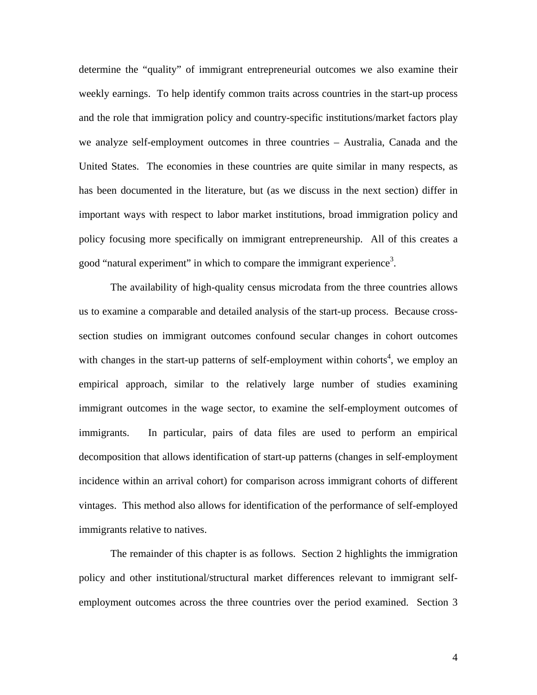determine the "quality" of immigrant entrepreneurial outcomes we also examine their weekly earnings. To help identify common traits across countries in the start-up process and the role that immigration policy and country-specific institutions/market factors play we analyze self-employment outcomes in three countries – Australia, Canada and the United States. The economies in these countries are quite similar in many respects, as has been documented in the literature, but (as we discuss in the next section) differ in important ways with respect to labor market institutions, broad immigration policy and policy focusing more specifically on immigrant entrepreneurship. All of this creates a good "natural experiment" in which to compare the immigrant experience<sup>3</sup>.

The availability of high-quality census microdata from the three countries allows us to examine a comparable and detailed analysis of the start-up process. Because crosssection studies on immigrant outcomes confound secular changes in cohort outcomes with changes in the start-up patterns of self-employment within cohorts<sup>4</sup>, we employ an empirical approach, similar to the relatively large number of studies examining immigrant outcomes in the wage sector, to examine the self-employment outcomes of immigrants. In particular, pairs of data files are used to perform an empirical decomposition that allows identification of start-up patterns (changes in self-employment incidence within an arrival cohort) for comparison across immigrant cohorts of different vintages. This method also allows for identification of the performance of self-employed immigrants relative to natives.

The remainder of this chapter is as follows. Section 2 highlights the immigration policy and other institutional/structural market differences relevant to immigrant selfemployment outcomes across the three countries over the period examined. Section 3

4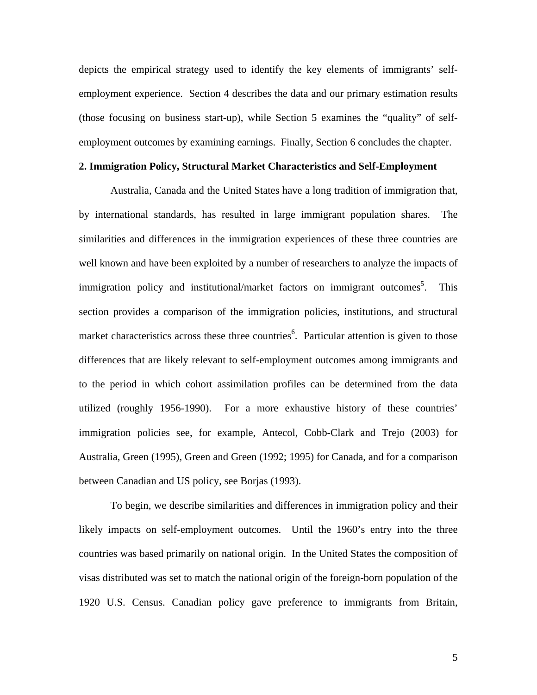depicts the empirical strategy used to identify the key elements of immigrants' selfemployment experience. Section 4 describes the data and our primary estimation results (those focusing on business start-up), while Section 5 examines the "quality" of selfemployment outcomes by examining earnings. Finally, Section 6 concludes the chapter.

### **2. Immigration Policy, Structural Market Characteristics and Self-Employment**

Australia, Canada and the United States have a long tradition of immigration that, by international standards, has resulted in large immigrant population shares. The similarities and differences in the immigration experiences of these three countries are well known and have been exploited by a number of researchers to analyze the impacts of immigration policy and institutional/market factors on immigrant outcomes<sup>5</sup>. This section provides a comparison of the immigration policies, institutions, and structural market characteristics across these three countries<sup>6</sup>. Particular attention is given to those differences that are likely relevant to self-employment outcomes among immigrants and to the period in which cohort assimilation profiles can be determined from the data utilized (roughly 1956-1990). For a more exhaustive history of these countries' immigration policies see, for example, Antecol, Cobb-Clark and Trejo (2003) for Australia, Green (1995), Green and Green (1992; 1995) for Canada, and for a comparison between Canadian and US policy, see Borjas (1993).

 To begin, we describe similarities and differences in immigration policy and their likely impacts on self-employment outcomes. Until the 1960's entry into the three countries was based primarily on national origin. In the United States the composition of visas distributed was set to match the national origin of the foreign-born population of the 1920 U.S. Census. Canadian policy gave preference to immigrants from Britain,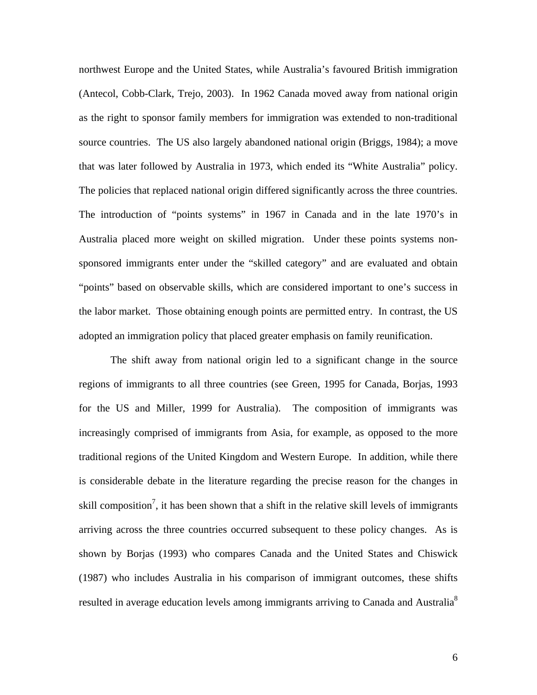northwest Europe and the United States, while Australia's favoured British immigration (Antecol, Cobb-Clark, Trejo, 2003). In 1962 Canada moved away from national origin as the right to sponsor family members for immigration was extended to non-traditional source countries. The US also largely abandoned national origin (Briggs, 1984); a move that was later followed by Australia in 1973, which ended its "White Australia" policy. The policies that replaced national origin differed significantly across the three countries. The introduction of "points systems" in 1967 in Canada and in the late 1970's in Australia placed more weight on skilled migration. Under these points systems nonsponsored immigrants enter under the "skilled category" and are evaluated and obtain "points" based on observable skills, which are considered important to one's success in the labor market. Those obtaining enough points are permitted entry. In contrast, the US adopted an immigration policy that placed greater emphasis on family reunification.

The shift away from national origin led to a significant change in the source regions of immigrants to all three countries (see Green, 1995 for Canada, Borjas, 1993 for the US and Miller, 1999 for Australia). The composition of immigrants was increasingly comprised of immigrants from Asia, for example, as opposed to the more traditional regions of the United Kingdom and Western Europe. In addition, while there is considerable debate in the literature regarding the precise reason for the changes in skill composition<sup>7</sup>, it has been shown that a shift in the relative skill levels of immigrants arriving across the three countries occurred subsequent to these policy changes. As is shown by Borjas (1993) who compares Canada and the United States and Chiswick (1987) who includes Australia in his comparison of immigrant outcomes, these shifts resulted in average education levels among immigrants arriving to Canada and Australia<sup>8</sup>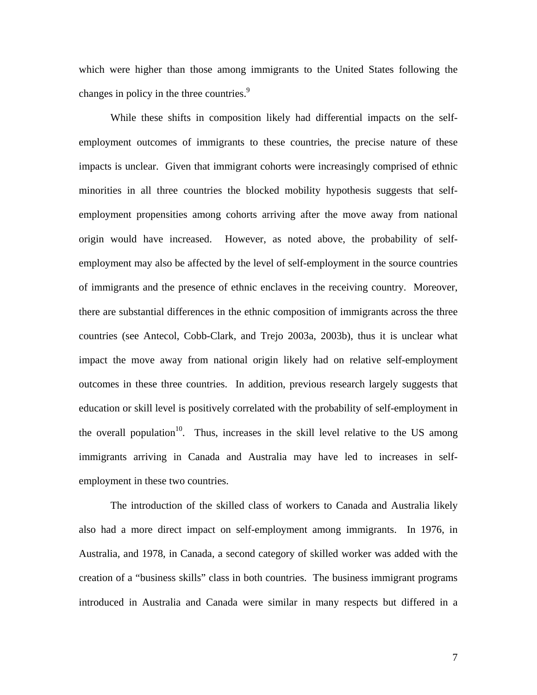which were higher than those among immigrants to the United States following the changes in policy in the three countries.<sup>9</sup>

 While these shifts in composition likely had differential impacts on the selfemployment outcomes of immigrants to these countries, the precise nature of these impacts is unclear. Given that immigrant cohorts were increasingly comprised of ethnic minorities in all three countries the blocked mobility hypothesis suggests that selfemployment propensities among cohorts arriving after the move away from national origin would have increased. However, as noted above, the probability of selfemployment may also be affected by the level of self-employment in the source countries of immigrants and the presence of ethnic enclaves in the receiving country. Moreover, there are substantial differences in the ethnic composition of immigrants across the three countries (see Antecol, Cobb-Clark, and Trejo 2003a, 2003b), thus it is unclear what impact the move away from national origin likely had on relative self-employment outcomes in these three countries. In addition, previous research largely suggests that education or skill level is positively correlated with the probability of self-employment in the overall population<sup>10</sup>. Thus, increases in the skill level relative to the US among immigrants arriving in Canada and Australia may have led to increases in selfemployment in these two countries.

 The introduction of the skilled class of workers to Canada and Australia likely also had a more direct impact on self-employment among immigrants. In 1976, in Australia, and 1978, in Canada, a second category of skilled worker was added with the creation of a "business skills" class in both countries. The business immigrant programs introduced in Australia and Canada were similar in many respects but differed in a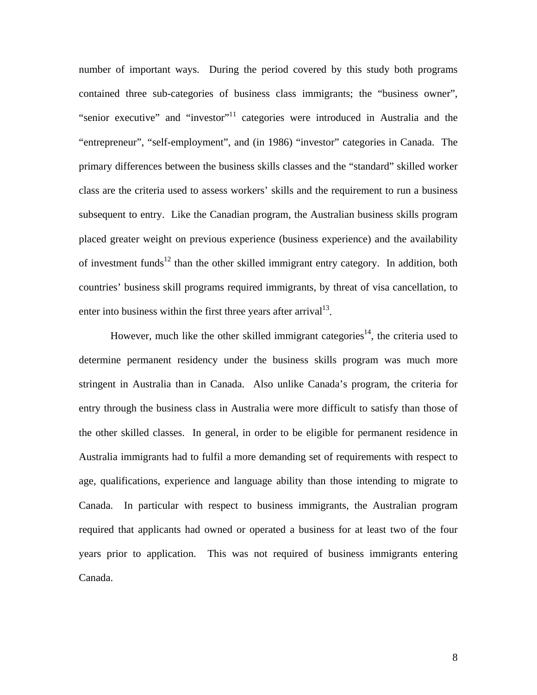number of important ways. During the period covered by this study both programs contained three sub-categories of business class immigrants; the "business owner", "senior executive" and "investor"<sup>11</sup> categories were introduced in Australia and the "entrepreneur", "self-employment", and (in 1986) "investor" categories in Canada. The primary differences between the business skills classes and the "standard" skilled worker class are the criteria used to assess workers' skills and the requirement to run a business subsequent to entry. Like the Canadian program, the Australian business skills program placed greater weight on previous experience (business experience) and the availability of investment funds<sup>12</sup> than the other skilled immigrant entry category. In addition, both countries' business skill programs required immigrants, by threat of visa cancellation, to enter into business within the first three years after arrival<sup>13</sup>.

However, much like the other skilled immigrant categories<sup>14</sup>, the criteria used to determine permanent residency under the business skills program was much more stringent in Australia than in Canada. Also unlike Canada's program, the criteria for entry through the business class in Australia were more difficult to satisfy than those of the other skilled classes. In general, in order to be eligible for permanent residence in Australia immigrants had to fulfil a more demanding set of requirements with respect to age, qualifications, experience and language ability than those intending to migrate to Canada. In particular with respect to business immigrants, the Australian program required that applicants had owned or operated a business for at least two of the four years prior to application. This was not required of business immigrants entering Canada.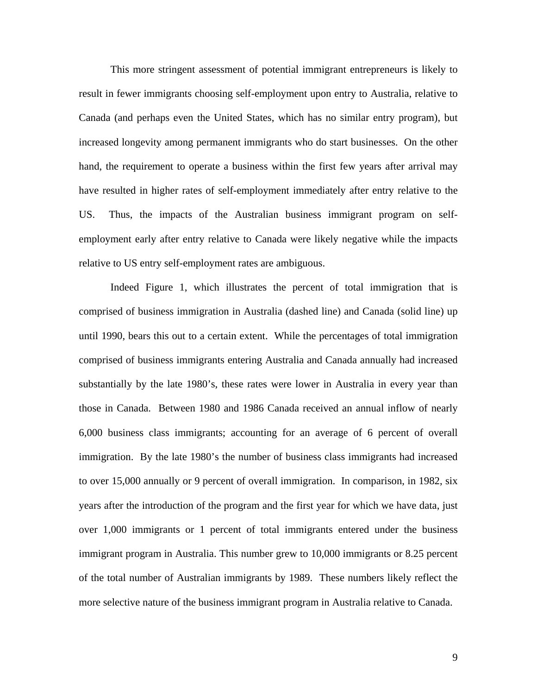This more stringent assessment of potential immigrant entrepreneurs is likely to result in fewer immigrants choosing self-employment upon entry to Australia, relative to Canada (and perhaps even the United States, which has no similar entry program), but increased longevity among permanent immigrants who do start businesses. On the other hand, the requirement to operate a business within the first few years after arrival may have resulted in higher rates of self-employment immediately after entry relative to the US. Thus, the impacts of the Australian business immigrant program on selfemployment early after entry relative to Canada were likely negative while the impacts relative to US entry self-employment rates are ambiguous.

Indeed Figure 1, which illustrates the percent of total immigration that is comprised of business immigration in Australia (dashed line) and Canada (solid line) up until 1990, bears this out to a certain extent. While the percentages of total immigration comprised of business immigrants entering Australia and Canada annually had increased substantially by the late 1980's, these rates were lower in Australia in every year than those in Canada. Between 1980 and 1986 Canada received an annual inflow of nearly 6,000 business class immigrants; accounting for an average of 6 percent of overall immigration. By the late 1980's the number of business class immigrants had increased to over 15,000 annually or 9 percent of overall immigration. In comparison, in 1982, six years after the introduction of the program and the first year for which we have data, just over 1,000 immigrants or 1 percent of total immigrants entered under the business immigrant program in Australia. This number grew to 10,000 immigrants or 8.25 percent of the total number of Australian immigrants by 1989. These numbers likely reflect the more selective nature of the business immigrant program in Australia relative to Canada.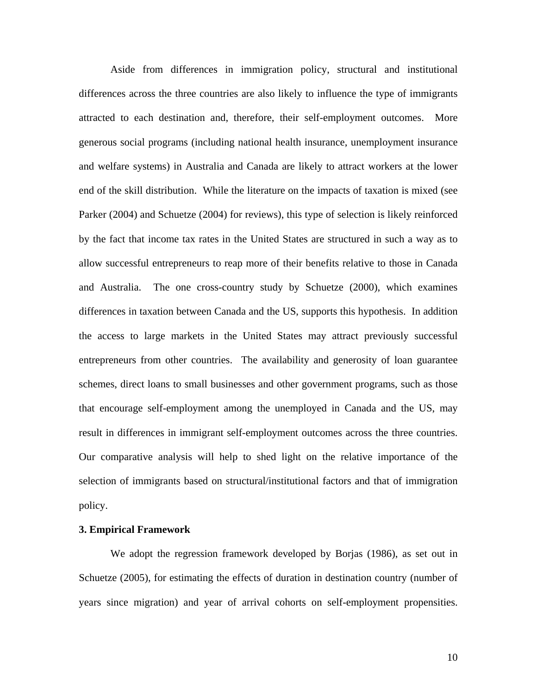Aside from differences in immigration policy, structural and institutional differences across the three countries are also likely to influence the type of immigrants attracted to each destination and, therefore, their self-employment outcomes. More generous social programs (including national health insurance, unemployment insurance and welfare systems) in Australia and Canada are likely to attract workers at the lower end of the skill distribution. While the literature on the impacts of taxation is mixed (see Parker (2004) and Schuetze (2004) for reviews), this type of selection is likely reinforced by the fact that income tax rates in the United States are structured in such a way as to allow successful entrepreneurs to reap more of their benefits relative to those in Canada and Australia. The one cross-country study by Schuetze (2000), which examines differences in taxation between Canada and the US, supports this hypothesis. In addition the access to large markets in the United States may attract previously successful entrepreneurs from other countries. The availability and generosity of loan guarantee schemes, direct loans to small businesses and other government programs, such as those that encourage self-employment among the unemployed in Canada and the US, may result in differences in immigrant self-employment outcomes across the three countries. Our comparative analysis will help to shed light on the relative importance of the selection of immigrants based on structural/institutional factors and that of immigration policy.

#### **3. Empirical Framework**

We adopt the regression framework developed by Borjas (1986), as set out in Schuetze (2005), for estimating the effects of duration in destination country (number of years since migration) and year of arrival cohorts on self-employment propensities.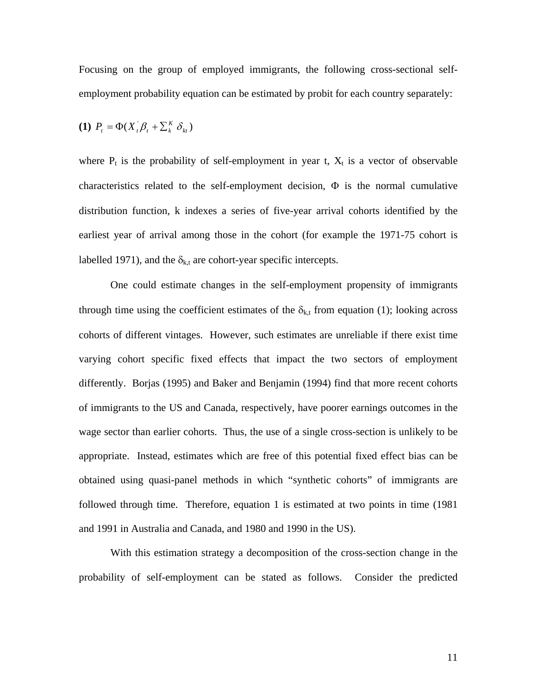Focusing on the group of employed immigrants, the following cross-sectional selfemployment probability equation can be estimated by probit for each country separately:

$$
(1) P_t = \Phi(X_t \beta_t + \sum_{k=0}^{K} \delta_{kt})
$$

where  $P_t$  is the probability of self-employment in year t,  $X_t$  is a vector of observable characteristics related to the self-employment decision, Φ is the normal cumulative distribution function, k indexes a series of five-year arrival cohorts identified by the earliest year of arrival among those in the cohort (for example the 1971-75 cohort is labelled 1971), and the  $\delta_{k,t}$  are cohort-year specific intercepts.

One could estimate changes in the self-employment propensity of immigrants through time using the coefficient estimates of the  $\delta_{k,t}$  from equation (1); looking across cohorts of different vintages. However, such estimates are unreliable if there exist time varying cohort specific fixed effects that impact the two sectors of employment differently. Borjas (1995) and Baker and Benjamin (1994) find that more recent cohorts of immigrants to the US and Canada, respectively, have poorer earnings outcomes in the wage sector than earlier cohorts. Thus, the use of a single cross-section is unlikely to be appropriate. Instead, estimates which are free of this potential fixed effect bias can be obtained using quasi-panel methods in which "synthetic cohorts" of immigrants are followed through time. Therefore, equation 1 is estimated at two points in time (1981 and 1991 in Australia and Canada, and 1980 and 1990 in the US).

 With this estimation strategy a decomposition of the cross-section change in the probability of self-employment can be stated as follows. Consider the predicted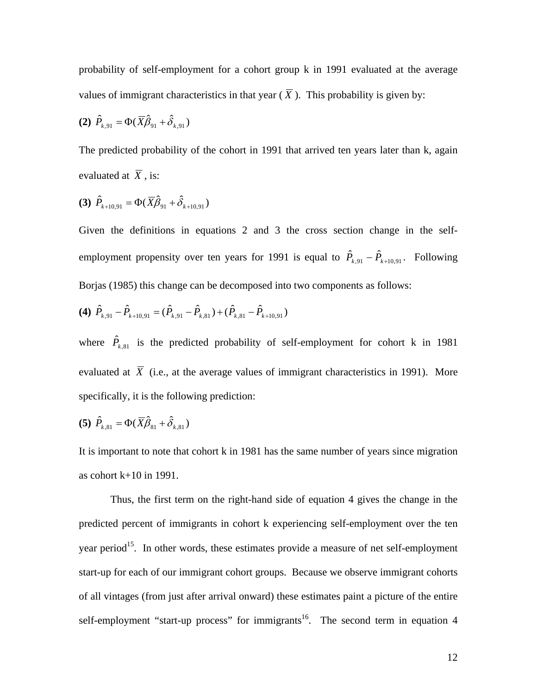probability of self-employment for a cohort group k in 1991 evaluated at the average values of immigrant characteristics in that year  $(\overline{X})$ . This probability is given by:

(2) 
$$
\hat{P}_{k,91} = \Phi(\overline{X}\hat{\beta}_{91} + \hat{\delta}_{k,91})
$$

The predicted probability of the cohort in 1991 that arrived ten years later than k, again evaluated at  $\overline{X}$ , is:

$$
(3) \ \hat{P}_{k+10,91} = \Phi(\overline{X}\hat{\beta}_{91} + \hat{\delta}_{k+10,91})
$$

Given the definitions in equations 2 and 3 the cross section change in the selfemployment propensity over ten years for 1991 is equal to  $\hat{P}_{k,91} - \hat{P}_{k+10,91}$ . Following Borjas (1985) this change can be decomposed into two components as follows:

(4) 
$$
\hat{P}_{k,91} - \hat{P}_{k+10,91} = (\hat{P}_{k,91} - \hat{P}_{k,81}) + (\hat{P}_{k,81} - \hat{P}_{k+10,91})
$$

where  $\hat{P}_{k,81}$  is the predicted probability of self-employment for cohort k in 1981 evaluated at  $\overline{X}$  (i.e., at the average values of immigrant characteristics in 1991). More specifically, it is the following prediction:

(5) 
$$
\hat{P}_{k,81} = \Phi(\overline{X}\hat{\beta}_{81} + \hat{\delta}_{k,81})
$$

It is important to note that cohort k in 1981 has the same number of years since migration as cohort  $k+10$  in 1991.

Thus, the first term on the right-hand side of equation 4 gives the change in the predicted percent of immigrants in cohort k experiencing self-employment over the ten year period<sup>15</sup>. In other words, these estimates provide a measure of net self-employment start-up for each of our immigrant cohort groups. Because we observe immigrant cohorts of all vintages (from just after arrival onward) these estimates paint a picture of the entire self-employment "start-up process" for immigrants<sup>16</sup>. The second term in equation 4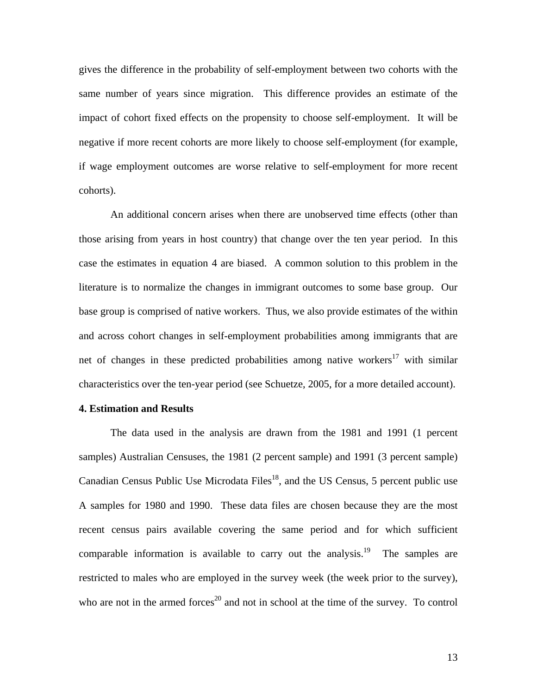gives the difference in the probability of self-employment between two cohorts with the same number of years since migration. This difference provides an estimate of the impact of cohort fixed effects on the propensity to choose self-employment. It will be negative if more recent cohorts are more likely to choose self-employment (for example, if wage employment outcomes are worse relative to self-employment for more recent cohorts).

 An additional concern arises when there are unobserved time effects (other than those arising from years in host country) that change over the ten year period. In this case the estimates in equation 4 are biased. A common solution to this problem in the literature is to normalize the changes in immigrant outcomes to some base group. Our base group is comprised of native workers. Thus, we also provide estimates of the within and across cohort changes in self-employment probabilities among immigrants that are net of changes in these predicted probabilities among native workers<sup>17</sup> with similar characteristics over the ten-year period (see Schuetze, 2005, for a more detailed account).

#### **4. Estimation and Results**

The data used in the analysis are drawn from the 1981 and 1991 (1 percent samples) Australian Censuses, the 1981 (2 percent sample) and 1991 (3 percent sample) Canadian Census Public Use Microdata Files<sup>18</sup>, and the US Census, 5 percent public use A samples for 1980 and 1990. These data files are chosen because they are the most recent census pairs available covering the same period and for which sufficient comparable information is available to carry out the analysis.<sup>19</sup> The samples are restricted to males who are employed in the survey week (the week prior to the survey), who are not in the armed forces<sup>20</sup> and not in school at the time of the survey. To control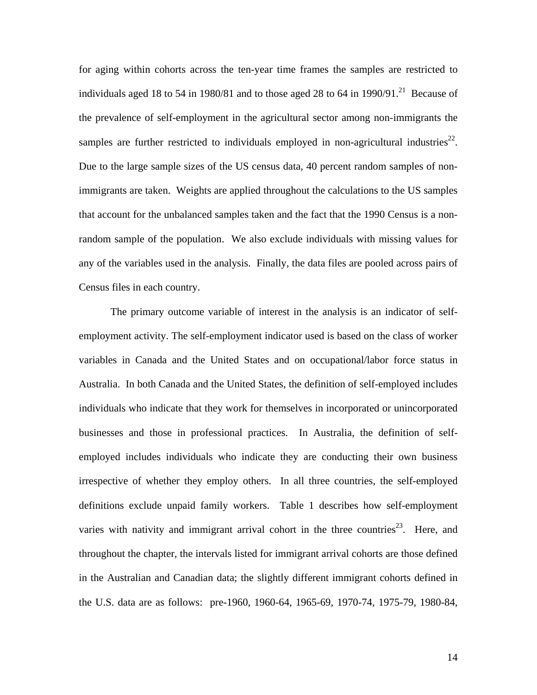for aging within cohorts across the ten-year time frames the samples are restricted to individuals aged 18 to 54 in 1980/81 and to those aged 28 to 64 in 1990/91.<sup>21</sup> Because of the prevalence of self-employment in the agricultural sector among non-immigrants the samples are further restricted to individuals employed in non-agricultural industries<sup>22</sup>. Due to the large sample sizes of the US census data, 40 percent random samples of nonimmigrants are taken. Weights are applied throughout the calculations to the US samples that account for the unbalanced samples taken and the fact that the 1990 Census is a nonrandom sample of the population. We also exclude individuals with missing values for any of the variables used in the analysis. Finally, the data files are pooled across pairs of Census files in each country.

The primary outcome variable of interest in the analysis is an indicator of selfemployment activity. The self-employment indicator used is based on the class of worker variables in Canada and the United States and on occupational/labor force status in Australia. In both Canada and the United States, the definition of self-employed includes individuals who indicate that they work for themselves in incorporated or unincorporated businesses and those in professional practices. In Australia, the definition of selfemployed includes individuals who indicate they are conducting their own business irrespective of whether they employ others. In all three countries, the self-employed definitions exclude unpaid family workers. Table 1 describes how self-employment varies with nativity and immigrant arrival cohort in the three countries<sup>23</sup>. Here, and throughout the chapter, the intervals listed for immigrant arrival cohorts are those defined in the Australian and Canadian data; the slightly different immigrant cohorts defined in the U.S. data are as follows: pre-1960, 1960-64, 1965-69, 1970-74, 1975-79, 1980-84,

14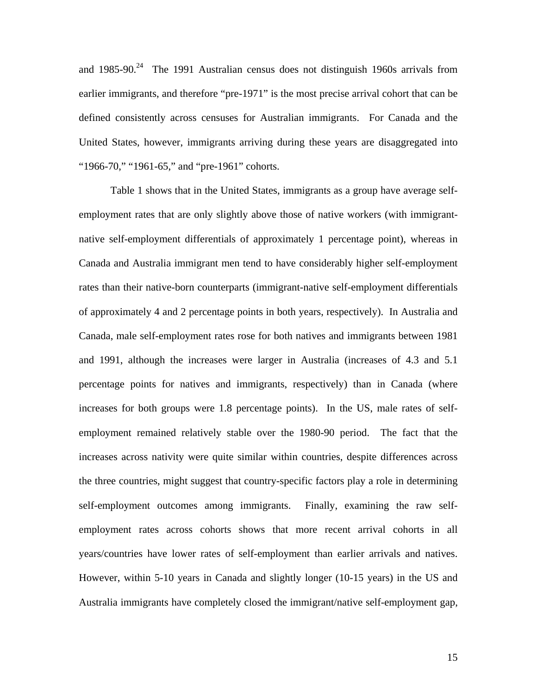and  $1985-90.<sup>24</sup>$  The 1991 Australian census does not distinguish 1960s arrivals from earlier immigrants, and therefore "pre-1971" is the most precise arrival cohort that can be defined consistently across censuses for Australian immigrants. For Canada and the United States, however, immigrants arriving during these years are disaggregated into "1966-70," "1961-65," and "pre-1961" cohorts.

Table 1 shows that in the United States, immigrants as a group have average selfemployment rates that are only slightly above those of native workers (with immigrantnative self-employment differentials of approximately 1 percentage point), whereas in Canada and Australia immigrant men tend to have considerably higher self-employment rates than their native-born counterparts (immigrant-native self-employment differentials of approximately 4 and 2 percentage points in both years, respectively). In Australia and Canada, male self-employment rates rose for both natives and immigrants between 1981 and 1991, although the increases were larger in Australia (increases of 4.3 and 5.1 percentage points for natives and immigrants, respectively) than in Canada (where increases for both groups were 1.8 percentage points). In the US, male rates of selfemployment remained relatively stable over the 1980-90 period. The fact that the increases across nativity were quite similar within countries, despite differences across the three countries, might suggest that country-specific factors play a role in determining self-employment outcomes among immigrants. Finally, examining the raw selfemployment rates across cohorts shows that more recent arrival cohorts in all years/countries have lower rates of self-employment than earlier arrivals and natives. However, within 5-10 years in Canada and slightly longer (10-15 years) in the US and Australia immigrants have completely closed the immigrant/native self-employment gap,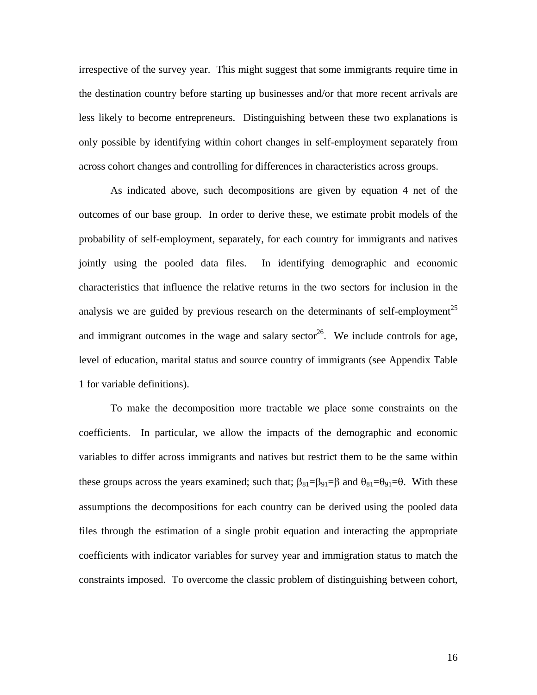irrespective of the survey year. This might suggest that some immigrants require time in the destination country before starting up businesses and/or that more recent arrivals are less likely to become entrepreneurs. Distinguishing between these two explanations is only possible by identifying within cohort changes in self-employment separately from across cohort changes and controlling for differences in characteristics across groups.

As indicated above, such decompositions are given by equation 4 net of the outcomes of our base group. In order to derive these, we estimate probit models of the probability of self-employment, separately, for each country for immigrants and natives jointly using the pooled data files. In identifying demographic and economic characteristics that influence the relative returns in the two sectors for inclusion in the analysis we are guided by previous research on the determinants of self-employment<sup>25</sup> and immigrant outcomes in the wage and salary sector<sup>26</sup>. We include controls for age, level of education, marital status and source country of immigrants (see Appendix Table 1 for variable definitions).

To make the decomposition more tractable we place some constraints on the coefficients. In particular, we allow the impacts of the demographic and economic variables to differ across immigrants and natives but restrict them to be the same within these groups across the years examined; such that;  $\beta_{81} = \beta_{91} = \beta$  and  $\theta_{81} = \theta_{91} = \theta$ . With these assumptions the decompositions for each country can be derived using the pooled data files through the estimation of a single probit equation and interacting the appropriate coefficients with indicator variables for survey year and immigration status to match the constraints imposed. To overcome the classic problem of distinguishing between cohort,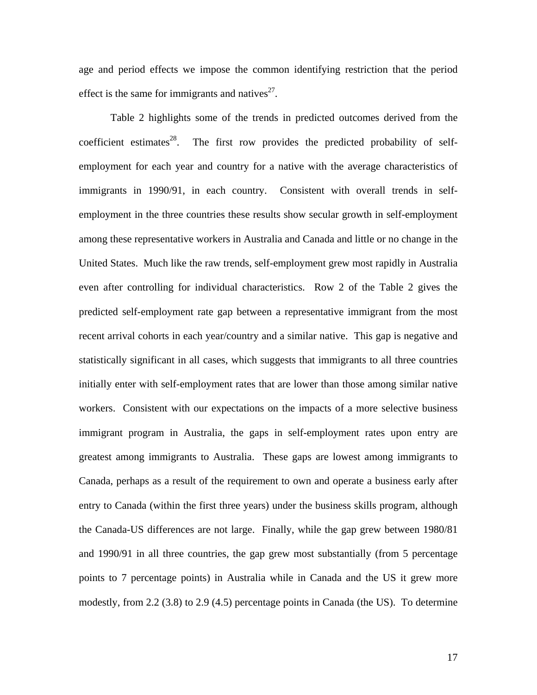age and period effects we impose the common identifying restriction that the period effect is the same for immigrants and natives $2^7$ .

Table 2 highlights some of the trends in predicted outcomes derived from the coefficient estimates<sup>28</sup>. The first row provides the predicted probability of selfemployment for each year and country for a native with the average characteristics of immigrants in 1990/91, in each country. Consistent with overall trends in selfemployment in the three countries these results show secular growth in self-employment among these representative workers in Australia and Canada and little or no change in the United States. Much like the raw trends, self-employment grew most rapidly in Australia even after controlling for individual characteristics. Row 2 of the Table 2 gives the predicted self-employment rate gap between a representative immigrant from the most recent arrival cohorts in each year/country and a similar native. This gap is negative and statistically significant in all cases, which suggests that immigrants to all three countries initially enter with self-employment rates that are lower than those among similar native workers. Consistent with our expectations on the impacts of a more selective business immigrant program in Australia, the gaps in self-employment rates upon entry are greatest among immigrants to Australia. These gaps are lowest among immigrants to Canada, perhaps as a result of the requirement to own and operate a business early after entry to Canada (within the first three years) under the business skills program, although the Canada-US differences are not large. Finally, while the gap grew between 1980/81 and 1990/91 in all three countries, the gap grew most substantially (from 5 percentage points to 7 percentage points) in Australia while in Canada and the US it grew more modestly, from 2.2 (3.8) to 2.9 (4.5) percentage points in Canada (the US). To determine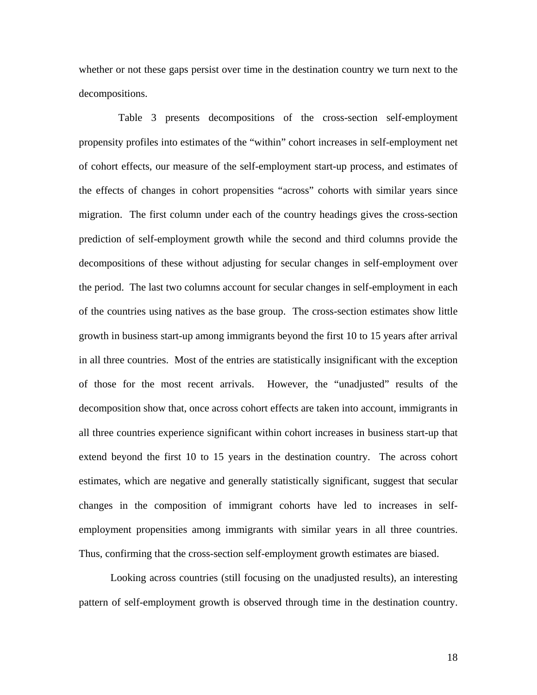whether or not these gaps persist over time in the destination country we turn next to the decompositions.

 Table 3 presents decompositions of the cross-section self-employment propensity profiles into estimates of the "within" cohort increases in self-employment net of cohort effects, our measure of the self-employment start-up process, and estimates of the effects of changes in cohort propensities "across" cohorts with similar years since migration. The first column under each of the country headings gives the cross-section prediction of self-employment growth while the second and third columns provide the decompositions of these without adjusting for secular changes in self-employment over the period. The last two columns account for secular changes in self-employment in each of the countries using natives as the base group. The cross-section estimates show little growth in business start-up among immigrants beyond the first 10 to 15 years after arrival in all three countries. Most of the entries are statistically insignificant with the exception of those for the most recent arrivals. However, the "unadjusted" results of the decomposition show that, once across cohort effects are taken into account, immigrants in all three countries experience significant within cohort increases in business start-up that extend beyond the first 10 to 15 years in the destination country. The across cohort estimates, which are negative and generally statistically significant, suggest that secular changes in the composition of immigrant cohorts have led to increases in selfemployment propensities among immigrants with similar years in all three countries. Thus, confirming that the cross-section self-employment growth estimates are biased.

Looking across countries (still focusing on the unadjusted results), an interesting pattern of self-employment growth is observed through time in the destination country.

18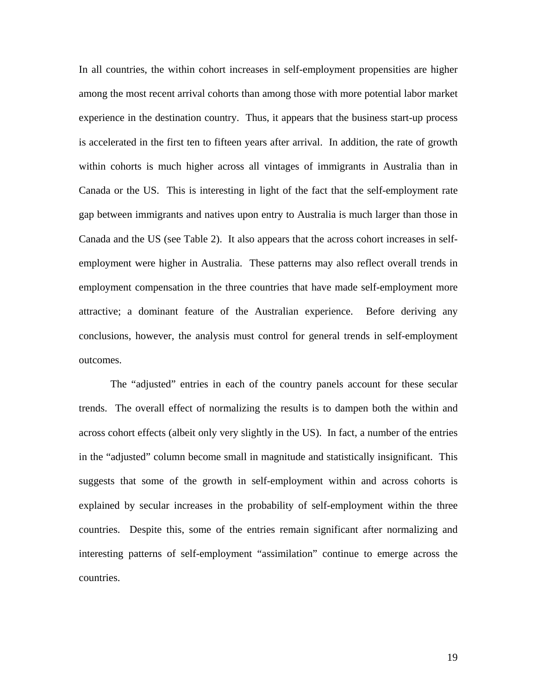In all countries, the within cohort increases in self-employment propensities are higher among the most recent arrival cohorts than among those with more potential labor market experience in the destination country. Thus, it appears that the business start-up process is accelerated in the first ten to fifteen years after arrival. In addition, the rate of growth within cohorts is much higher across all vintages of immigrants in Australia than in Canada or the US. This is interesting in light of the fact that the self-employment rate gap between immigrants and natives upon entry to Australia is much larger than those in Canada and the US (see Table 2). It also appears that the across cohort increases in selfemployment were higher in Australia. These patterns may also reflect overall trends in employment compensation in the three countries that have made self-employment more attractive; a dominant feature of the Australian experience. Before deriving any conclusions, however, the analysis must control for general trends in self-employment outcomes.

The "adjusted" entries in each of the country panels account for these secular trends. The overall effect of normalizing the results is to dampen both the within and across cohort effects (albeit only very slightly in the US). In fact, a number of the entries in the "adjusted" column become small in magnitude and statistically insignificant. This suggests that some of the growth in self-employment within and across cohorts is explained by secular increases in the probability of self-employment within the three countries. Despite this, some of the entries remain significant after normalizing and interesting patterns of self-employment "assimilation" continue to emerge across the countries.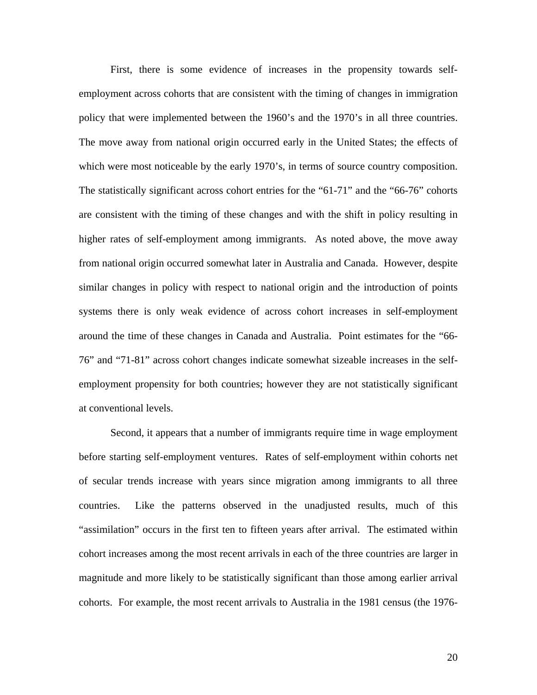First, there is some evidence of increases in the propensity towards selfemployment across cohorts that are consistent with the timing of changes in immigration policy that were implemented between the 1960's and the 1970's in all three countries. The move away from national origin occurred early in the United States; the effects of which were most noticeable by the early 1970's, in terms of source country composition. The statistically significant across cohort entries for the "61-71" and the "66-76" cohorts are consistent with the timing of these changes and with the shift in policy resulting in higher rates of self-employment among immigrants. As noted above, the move away from national origin occurred somewhat later in Australia and Canada. However, despite similar changes in policy with respect to national origin and the introduction of points systems there is only weak evidence of across cohort increases in self-employment around the time of these changes in Canada and Australia. Point estimates for the "66- 76" and "71-81" across cohort changes indicate somewhat sizeable increases in the selfemployment propensity for both countries; however they are not statistically significant at conventional levels.

Second, it appears that a number of immigrants require time in wage employment before starting self-employment ventures. Rates of self-employment within cohorts net of secular trends increase with years since migration among immigrants to all three countries. Like the patterns observed in the unadjusted results, much of this "assimilation" occurs in the first ten to fifteen years after arrival. The estimated within cohort increases among the most recent arrivals in each of the three countries are larger in magnitude and more likely to be statistically significant than those among earlier arrival cohorts. For example, the most recent arrivals to Australia in the 1981 census (the 1976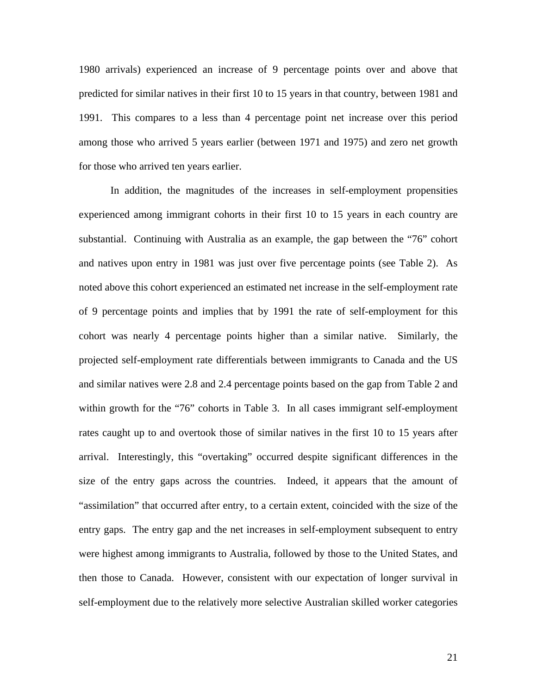1980 arrivals) experienced an increase of 9 percentage points over and above that predicted for similar natives in their first 10 to 15 years in that country, between 1981 and 1991. This compares to a less than 4 percentage point net increase over this period among those who arrived 5 years earlier (between 1971 and 1975) and zero net growth for those who arrived ten years earlier.

In addition, the magnitudes of the increases in self-employment propensities experienced among immigrant cohorts in their first 10 to 15 years in each country are substantial. Continuing with Australia as an example, the gap between the "76" cohort and natives upon entry in 1981 was just over five percentage points (see Table 2). As noted above this cohort experienced an estimated net increase in the self-employment rate of 9 percentage points and implies that by 1991 the rate of self-employment for this cohort was nearly 4 percentage points higher than a similar native. Similarly, the projected self-employment rate differentials between immigrants to Canada and the US and similar natives were 2.8 and 2.4 percentage points based on the gap from Table 2 and within growth for the "76" cohorts in Table 3. In all cases immigrant self-employment rates caught up to and overtook those of similar natives in the first 10 to 15 years after arrival. Interestingly, this "overtaking" occurred despite significant differences in the size of the entry gaps across the countries. Indeed, it appears that the amount of "assimilation" that occurred after entry, to a certain extent, coincided with the size of the entry gaps. The entry gap and the net increases in self-employment subsequent to entry were highest among immigrants to Australia, followed by those to the United States, and then those to Canada. However, consistent with our expectation of longer survival in self-employment due to the relatively more selective Australian skilled worker categories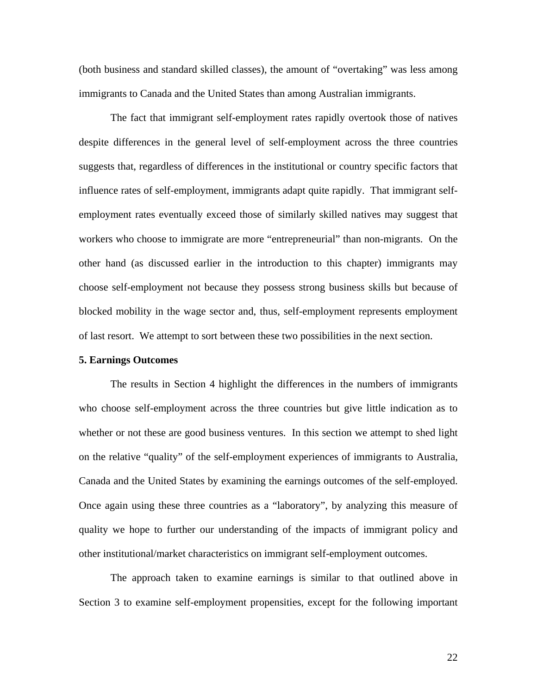(both business and standard skilled classes), the amount of "overtaking" was less among immigrants to Canada and the United States than among Australian immigrants.

The fact that immigrant self-employment rates rapidly overtook those of natives despite differences in the general level of self-employment across the three countries suggests that, regardless of differences in the institutional or country specific factors that influence rates of self-employment, immigrants adapt quite rapidly. That immigrant selfemployment rates eventually exceed those of similarly skilled natives may suggest that workers who choose to immigrate are more "entrepreneurial" than non-migrants. On the other hand (as discussed earlier in the introduction to this chapter) immigrants may choose self-employment not because they possess strong business skills but because of blocked mobility in the wage sector and, thus, self-employment represents employment of last resort. We attempt to sort between these two possibilities in the next section.

#### **5. Earnings Outcomes**

The results in Section 4 highlight the differences in the numbers of immigrants who choose self-employment across the three countries but give little indication as to whether or not these are good business ventures. In this section we attempt to shed light on the relative "quality" of the self-employment experiences of immigrants to Australia, Canada and the United States by examining the earnings outcomes of the self-employed. Once again using these three countries as a "laboratory", by analyzing this measure of quality we hope to further our understanding of the impacts of immigrant policy and other institutional/market characteristics on immigrant self-employment outcomes.

 The approach taken to examine earnings is similar to that outlined above in Section 3 to examine self-employment propensities, except for the following important

22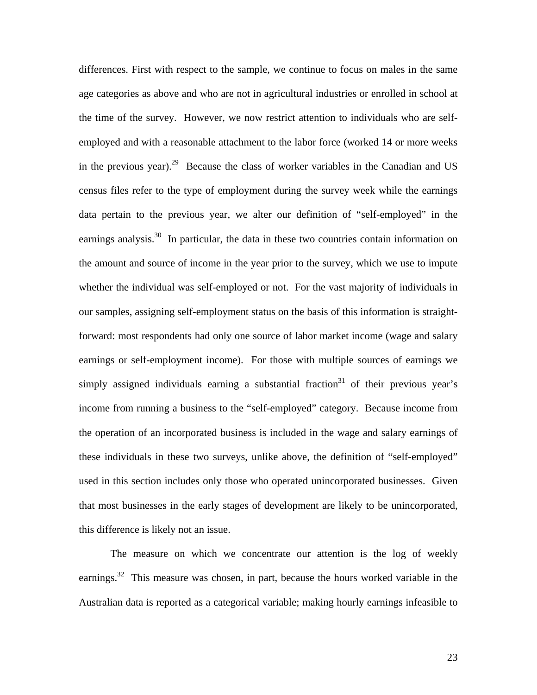differences. First with respect to the sample, we continue to focus on males in the same age categories as above and who are not in agricultural industries or enrolled in school at the time of the survey. However, we now restrict attention to individuals who are selfemployed and with a reasonable attachment to the labor force (worked 14 or more weeks in the previous year).<sup>29</sup> Because the class of worker variables in the Canadian and US census files refer to the type of employment during the survey week while the earnings data pertain to the previous year, we alter our definition of "self-employed" in the earnings analysis.<sup>30</sup> In particular, the data in these two countries contain information on the amount and source of income in the year prior to the survey, which we use to impute whether the individual was self-employed or not. For the vast majority of individuals in our samples, assigning self-employment status on the basis of this information is straightforward: most respondents had only one source of labor market income (wage and salary earnings or self-employment income). For those with multiple sources of earnings we simply assigned individuals earning a substantial fraction<sup>31</sup> of their previous year's income from running a business to the "self-employed" category. Because income from the operation of an incorporated business is included in the wage and salary earnings of these individuals in these two surveys, unlike above, the definition of "self-employed" used in this section includes only those who operated unincorporated businesses. Given that most businesses in the early stages of development are likely to be unincorporated, this difference is likely not an issue.

 The measure on which we concentrate our attention is the log of weekly earnings.<sup>32</sup> This measure was chosen, in part, because the hours worked variable in the Australian data is reported as a categorical variable; making hourly earnings infeasible to

23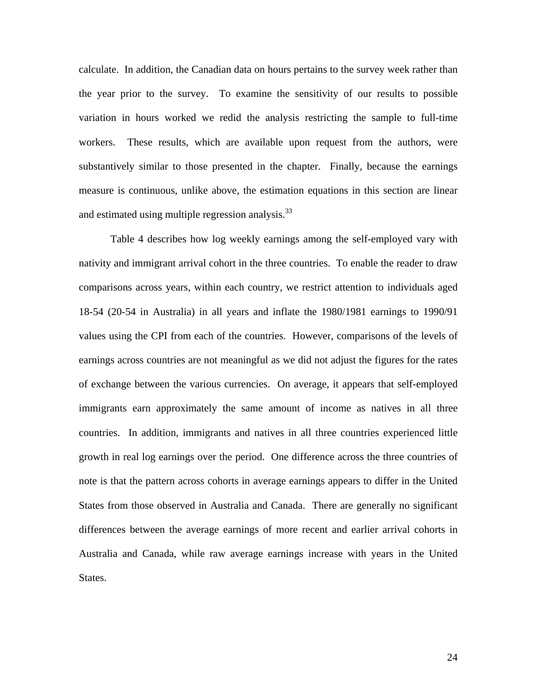calculate. In addition, the Canadian data on hours pertains to the survey week rather than the year prior to the survey. To examine the sensitivity of our results to possible variation in hours worked we redid the analysis restricting the sample to full-time workers. These results, which are available upon request from the authors, were substantively similar to those presented in the chapter. Finally, because the earnings measure is continuous, unlike above, the estimation equations in this section are linear and estimated using multiple regression analysis.<sup>33</sup>

 Table 4 describes how log weekly earnings among the self-employed vary with nativity and immigrant arrival cohort in the three countries. To enable the reader to draw comparisons across years, within each country, we restrict attention to individuals aged 18-54 (20-54 in Australia) in all years and inflate the 1980/1981 earnings to 1990/91 values using the CPI from each of the countries. However, comparisons of the levels of earnings across countries are not meaningful as we did not adjust the figures for the rates of exchange between the various currencies. On average, it appears that self-employed immigrants earn approximately the same amount of income as natives in all three countries. In addition, immigrants and natives in all three countries experienced little growth in real log earnings over the period. One difference across the three countries of note is that the pattern across cohorts in average earnings appears to differ in the United States from those observed in Australia and Canada. There are generally no significant differences between the average earnings of more recent and earlier arrival cohorts in Australia and Canada, while raw average earnings increase with years in the United States.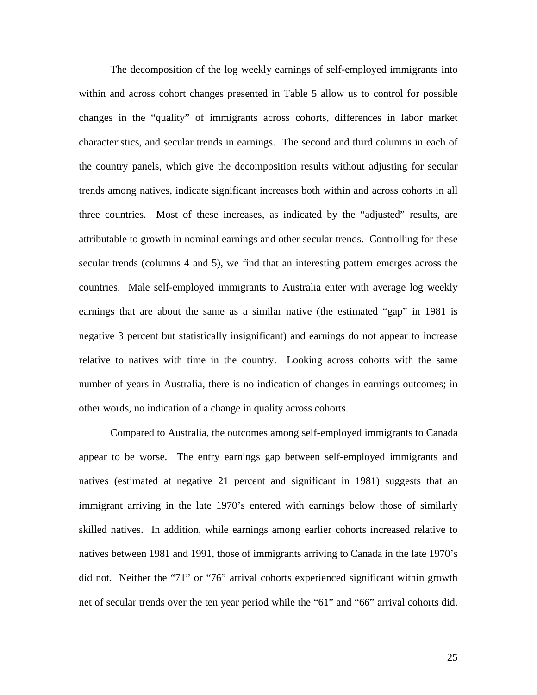The decomposition of the log weekly earnings of self-employed immigrants into within and across cohort changes presented in Table 5 allow us to control for possible changes in the "quality" of immigrants across cohorts, differences in labor market characteristics, and secular trends in earnings. The second and third columns in each of the country panels, which give the decomposition results without adjusting for secular trends among natives, indicate significant increases both within and across cohorts in all three countries. Most of these increases, as indicated by the "adjusted" results, are attributable to growth in nominal earnings and other secular trends. Controlling for these secular trends (columns 4 and 5), we find that an interesting pattern emerges across the countries. Male self-employed immigrants to Australia enter with average log weekly earnings that are about the same as a similar native (the estimated "gap" in 1981 is negative 3 percent but statistically insignificant) and earnings do not appear to increase relative to natives with time in the country. Looking across cohorts with the same number of years in Australia, there is no indication of changes in earnings outcomes; in other words, no indication of a change in quality across cohorts.

Compared to Australia, the outcomes among self-employed immigrants to Canada appear to be worse. The entry earnings gap between self-employed immigrants and natives (estimated at negative 21 percent and significant in 1981) suggests that an immigrant arriving in the late 1970's entered with earnings below those of similarly skilled natives. In addition, while earnings among earlier cohorts increased relative to natives between 1981 and 1991, those of immigrants arriving to Canada in the late 1970's did not. Neither the "71" or "76" arrival cohorts experienced significant within growth net of secular trends over the ten year period while the "61" and "66" arrival cohorts did.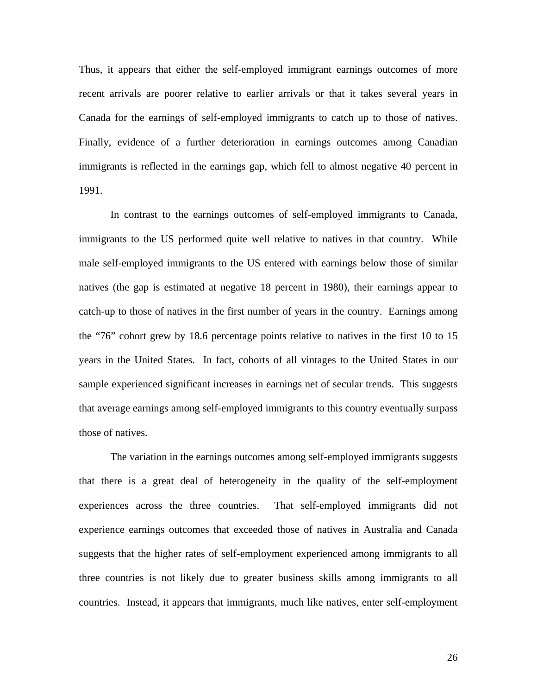Thus, it appears that either the self-employed immigrant earnings outcomes of more recent arrivals are poorer relative to earlier arrivals or that it takes several years in Canada for the earnings of self-employed immigrants to catch up to those of natives. Finally, evidence of a further deterioration in earnings outcomes among Canadian immigrants is reflected in the earnings gap, which fell to almost negative 40 percent in 1991.

In contrast to the earnings outcomes of self-employed immigrants to Canada, immigrants to the US performed quite well relative to natives in that country. While male self-employed immigrants to the US entered with earnings below those of similar natives (the gap is estimated at negative 18 percent in 1980), their earnings appear to catch-up to those of natives in the first number of years in the country. Earnings among the "76" cohort grew by 18.6 percentage points relative to natives in the first 10 to 15 years in the United States. In fact, cohorts of all vintages to the United States in our sample experienced significant increases in earnings net of secular trends. This suggests that average earnings among self-employed immigrants to this country eventually surpass those of natives.

The variation in the earnings outcomes among self-employed immigrants suggests that there is a great deal of heterogeneity in the quality of the self-employment experiences across the three countries. That self-employed immigrants did not experience earnings outcomes that exceeded those of natives in Australia and Canada suggests that the higher rates of self-employment experienced among immigrants to all three countries is not likely due to greater business skills among immigrants to all countries. Instead, it appears that immigrants, much like natives, enter self-employment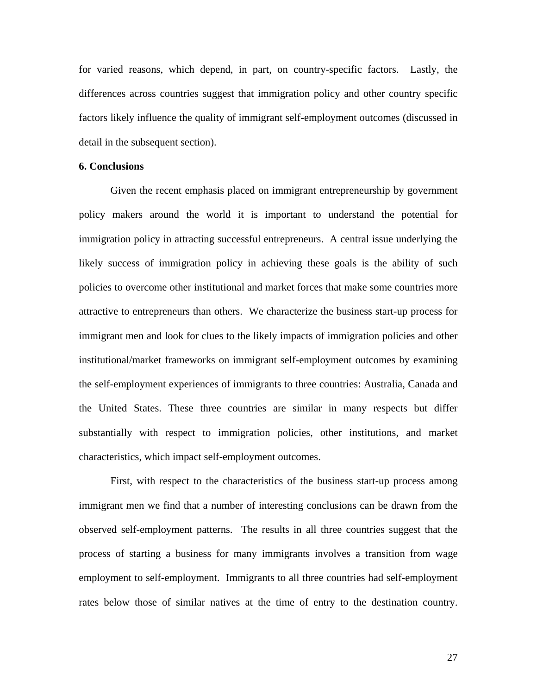for varied reasons, which depend, in part, on country-specific factors. Lastly, the differences across countries suggest that immigration policy and other country specific factors likely influence the quality of immigrant self-employment outcomes (discussed in detail in the subsequent section).

#### **6. Conclusions**

Given the recent emphasis placed on immigrant entrepreneurship by government policy makers around the world it is important to understand the potential for immigration policy in attracting successful entrepreneurs. A central issue underlying the likely success of immigration policy in achieving these goals is the ability of such policies to overcome other institutional and market forces that make some countries more attractive to entrepreneurs than others. We characterize the business start-up process for immigrant men and look for clues to the likely impacts of immigration policies and other institutional/market frameworks on immigrant self-employment outcomes by examining the self-employment experiences of immigrants to three countries: Australia, Canada and the United States. These three countries are similar in many respects but differ substantially with respect to immigration policies, other institutions, and market characteristics, which impact self-employment outcomes.

First, with respect to the characteristics of the business start-up process among immigrant men we find that a number of interesting conclusions can be drawn from the observed self-employment patterns. The results in all three countries suggest that the process of starting a business for many immigrants involves a transition from wage employment to self-employment. Immigrants to all three countries had self-employment rates below those of similar natives at the time of entry to the destination country.

27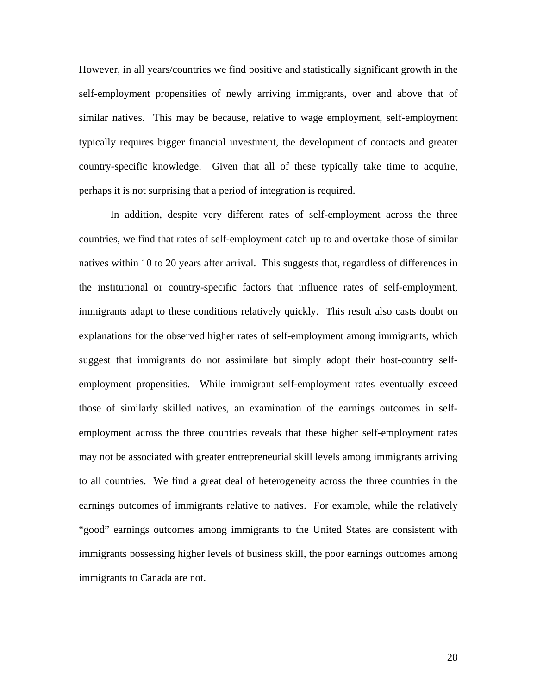However, in all years/countries we find positive and statistically significant growth in the self-employment propensities of newly arriving immigrants, over and above that of similar natives. This may be because, relative to wage employment, self-employment typically requires bigger financial investment, the development of contacts and greater country-specific knowledge. Given that all of these typically take time to acquire, perhaps it is not surprising that a period of integration is required.

In addition, despite very different rates of self-employment across the three countries, we find that rates of self-employment catch up to and overtake those of similar natives within 10 to 20 years after arrival. This suggests that, regardless of differences in the institutional or country-specific factors that influence rates of self-employment, immigrants adapt to these conditions relatively quickly. This result also casts doubt on explanations for the observed higher rates of self-employment among immigrants, which suggest that immigrants do not assimilate but simply adopt their host-country selfemployment propensities. While immigrant self-employment rates eventually exceed those of similarly skilled natives, an examination of the earnings outcomes in selfemployment across the three countries reveals that these higher self-employment rates may not be associated with greater entrepreneurial skill levels among immigrants arriving to all countries. We find a great deal of heterogeneity across the three countries in the earnings outcomes of immigrants relative to natives. For example, while the relatively "good" earnings outcomes among immigrants to the United States are consistent with immigrants possessing higher levels of business skill, the poor earnings outcomes among immigrants to Canada are not.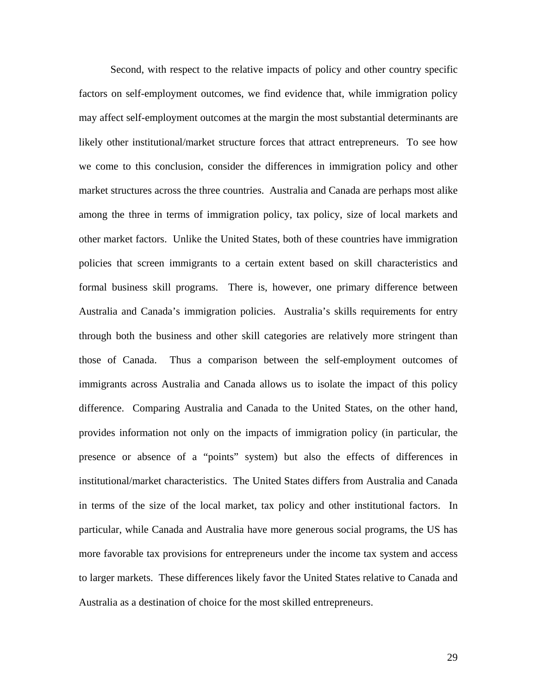Second, with respect to the relative impacts of policy and other country specific factors on self-employment outcomes, we find evidence that, while immigration policy may affect self-employment outcomes at the margin the most substantial determinants are likely other institutional/market structure forces that attract entrepreneurs. To see how we come to this conclusion, consider the differences in immigration policy and other market structures across the three countries. Australia and Canada are perhaps most alike among the three in terms of immigration policy, tax policy, size of local markets and other market factors. Unlike the United States, both of these countries have immigration policies that screen immigrants to a certain extent based on skill characteristics and formal business skill programs. There is, however, one primary difference between Australia and Canada's immigration policies. Australia's skills requirements for entry through both the business and other skill categories are relatively more stringent than those of Canada. Thus a comparison between the self-employment outcomes of immigrants across Australia and Canada allows us to isolate the impact of this policy difference. Comparing Australia and Canada to the United States, on the other hand, provides information not only on the impacts of immigration policy (in particular, the presence or absence of a "points" system) but also the effects of differences in institutional/market characteristics. The United States differs from Australia and Canada in terms of the size of the local market, tax policy and other institutional factors. In particular, while Canada and Australia have more generous social programs, the US has more favorable tax provisions for entrepreneurs under the income tax system and access to larger markets. These differences likely favor the United States relative to Canada and Australia as a destination of choice for the most skilled entrepreneurs.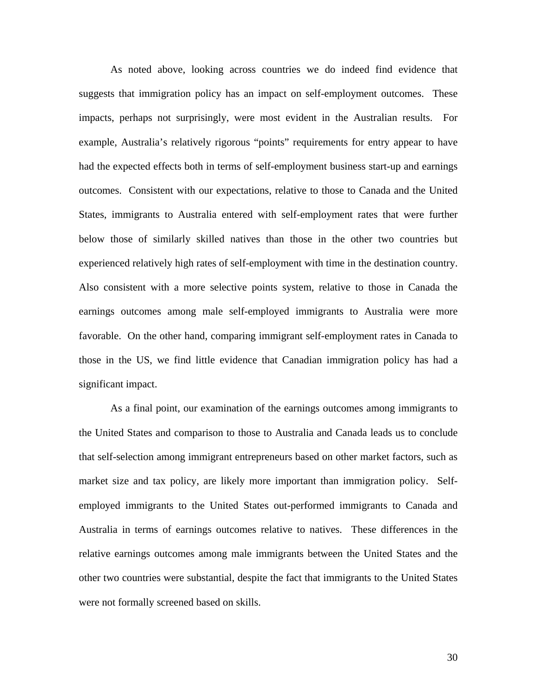As noted above, looking across countries we do indeed find evidence that suggests that immigration policy has an impact on self-employment outcomes. These impacts, perhaps not surprisingly, were most evident in the Australian results. For example, Australia's relatively rigorous "points" requirements for entry appear to have had the expected effects both in terms of self-employment business start-up and earnings outcomes. Consistent with our expectations, relative to those to Canada and the United States, immigrants to Australia entered with self-employment rates that were further below those of similarly skilled natives than those in the other two countries but experienced relatively high rates of self-employment with time in the destination country. Also consistent with a more selective points system, relative to those in Canada the earnings outcomes among male self-employed immigrants to Australia were more favorable. On the other hand, comparing immigrant self-employment rates in Canada to those in the US, we find little evidence that Canadian immigration policy has had a significant impact.

As a final point, our examination of the earnings outcomes among immigrants to the United States and comparison to those to Australia and Canada leads us to conclude that self-selection among immigrant entrepreneurs based on other market factors, such as market size and tax policy, are likely more important than immigration policy. Selfemployed immigrants to the United States out-performed immigrants to Canada and Australia in terms of earnings outcomes relative to natives. These differences in the relative earnings outcomes among male immigrants between the United States and the other two countries were substantial, despite the fact that immigrants to the United States were not formally screened based on skills.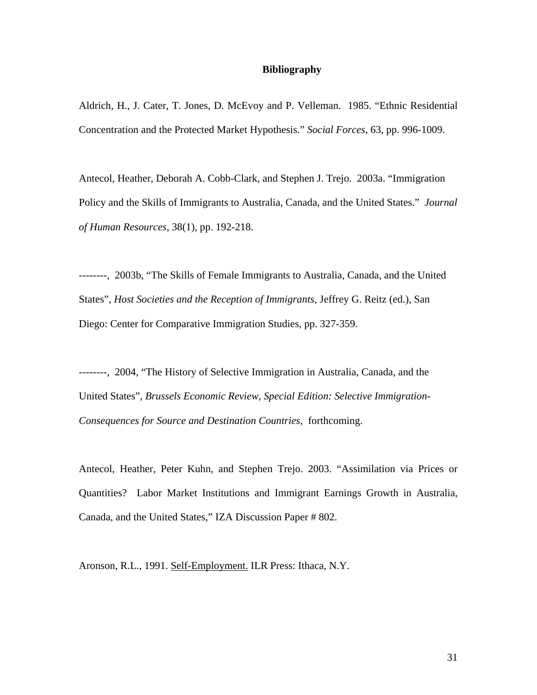### **Bibliography**

Aldrich, H., J. Cater, T. Jones, D. McEvoy and P. Velleman. 1985. "Ethnic Residential Concentration and the Protected Market Hypothesis." *Social Forces*, 63, pp. 996-1009.

Antecol, Heather, Deborah A. Cobb-Clark, and Stephen J. Trejo. 2003a. "Immigration Policy and the Skills of Immigrants to Australia, Canada, and the United States." *Journal of Human Resources*, 38(1), pp. 192-218.

--------, 2003b, "The Skills of Female Immigrants to Australia, Canada, and the United States", *Host Societies and the Reception of Immigrants*, Jeffrey G. Reitz (ed.), San Diego: Center for Comparative Immigration Studies, pp. 327-359.

--------, 2004, "The History of Selective Immigration in Australia, Canada, and the United States", *Brussels Economic Review, Special Edition: Selective Immigration-Consequences for Source and Destination Countries*, forthcoming.

Antecol, Heather, Peter Kuhn, and Stephen Trejo. 2003. "Assimilation via Prices or Quantities? Labor Market Institutions and Immigrant Earnings Growth in Australia, Canada, and the United States," IZA Discussion Paper # 802.

Aronson, R.L., 1991. Self-Employment. ILR Press: Ithaca, N.Y.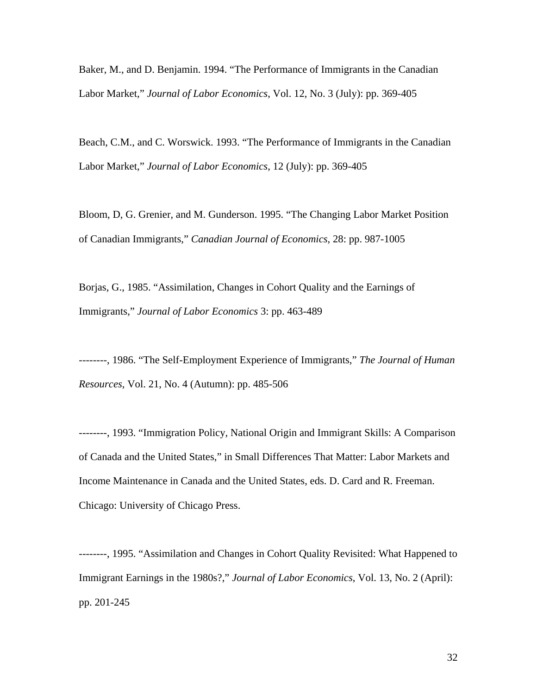Baker, M., and D. Benjamin. 1994. "The Performance of Immigrants in the Canadian Labor Market," *Journal of Labor Economics*, Vol. 12, No. 3 (July): pp. 369-405

Beach, C.M., and C. Worswick. 1993. "The Performance of Immigrants in the Canadian Labor Market," *Journal of Labor Economics*, 12 (July): pp. 369-405

Bloom, D, G. Grenier, and M. Gunderson. 1995. "The Changing Labor Market Position of Canadian Immigrants," *Canadian Journal of Economics*, 28: pp. 987-1005

Borjas, G., 1985. "Assimilation, Changes in Cohort Quality and the Earnings of Immigrants," *Journal of Labor Economics* 3: pp. 463-489

--------, 1986. "The Self-Employment Experience of Immigrants," *The Journal of Human Resources*, Vol. 21, No. 4 (Autumn): pp. 485-506

--------, 1993. "Immigration Policy, National Origin and Immigrant Skills: A Comparison of Canada and the United States," in Small Differences That Matter: Labor Markets and Income Maintenance in Canada and the United States, eds. D. Card and R. Freeman. Chicago: University of Chicago Press.

--------, 1995. "Assimilation and Changes in Cohort Quality Revisited: What Happened to Immigrant Earnings in the 1980s?," *Journal of Labor Economics*, Vol. 13, No. 2 (April): pp. 201-245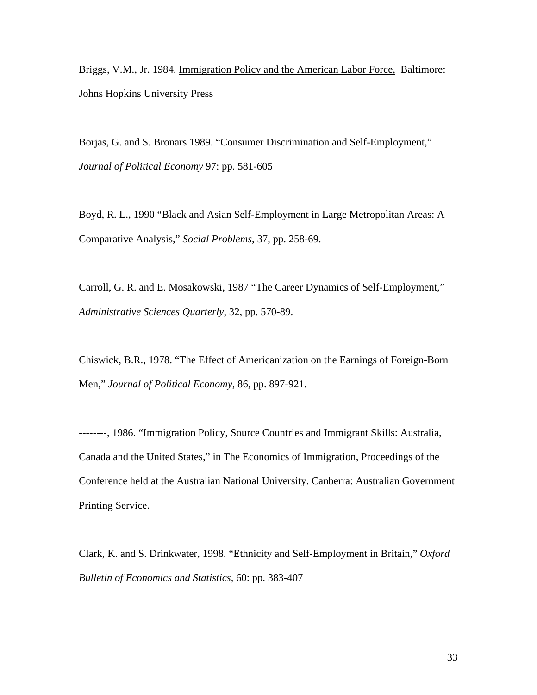Briggs, V.M., Jr. 1984. Immigration Policy and the American Labor Force, Baltimore: Johns Hopkins University Press

Borjas, G. and S. Bronars 1989. "Consumer Discrimination and Self-Employment," *Journal of Political Economy* 97: pp. 581-605

Boyd, R. L., 1990 "Black and Asian Self-Employment in Large Metropolitan Areas: A Comparative Analysis," *Social Problems*, 37, pp. 258-69.

Carroll, G. R. and E. Mosakowski, 1987 "The Career Dynamics of Self-Employment," *Administrative Sciences Quarterly*, 32, pp. 570-89.

Chiswick, B.R., 1978. "The Effect of Americanization on the Earnings of Foreign-Born Men," *Journal of Political Economy*, 86, pp. 897-921.

--------, 1986. "Immigration Policy, Source Countries and Immigrant Skills: Australia, Canada and the United States," in The Economics of Immigration, Proceedings of the Conference held at the Australian National University. Canberra: Australian Government Printing Service.

Clark, K. and S. Drinkwater, 1998. "Ethnicity and Self-Employment in Britain," *Oxford Bulletin of Economics and Statistics,* 60: pp. 383-407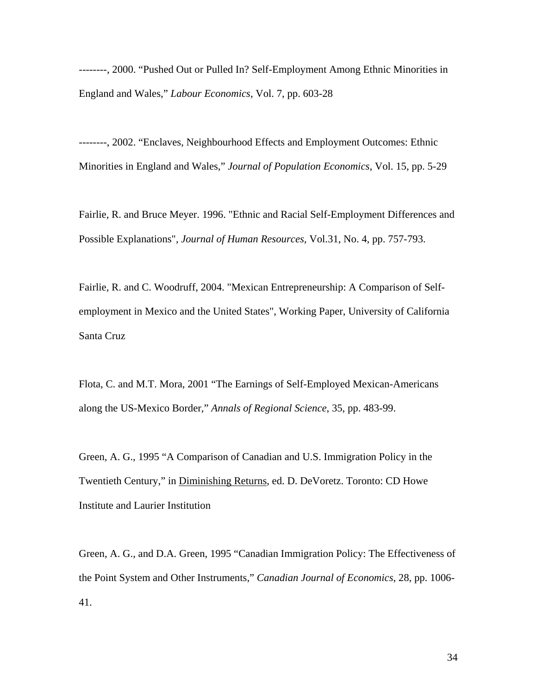--------, 2000. "Pushed Out or Pulled In? Self-Employment Among Ethnic Minorities in England and Wales," *Labour Economics*, Vol. 7, pp. 603-28

--------, 2002. "Enclaves, Neighbourhood Effects and Employment Outcomes: Ethnic Minorities in England and Wales," *Journal of Population Economics*, Vol. 15, pp. 5-29

Fairlie, R. and Bruce Meyer. 1996. "Ethnic and Racial Self-Employment Differences and Possible Explanations", *Journal of Human Resources,* Vol.31, No. 4, pp. 757-793.

Fairlie, R. and C. Woodruff, 2004. "Mexican Entrepreneurship: A Comparison of Selfemployment in Mexico and the United States", Working Paper, University of California Santa Cruz

Flota, C. and M.T. Mora, 2001 "The Earnings of Self-Employed Mexican-Americans along the US-Mexico Border," *Annals of Regional Science*, 35, pp. 483-99.

Green, A. G., 1995 "A Comparison of Canadian and U.S. Immigration Policy in the Twentieth Century," in Diminishing Returns, ed. D. DeVoretz. Toronto: CD Howe Institute and Laurier Institution

Green, A. G., and D.A. Green, 1995 "Canadian Immigration Policy: The Effectiveness of the Point System and Other Instruments," *Canadian Journal of Economics*, 28, pp. 1006- 41.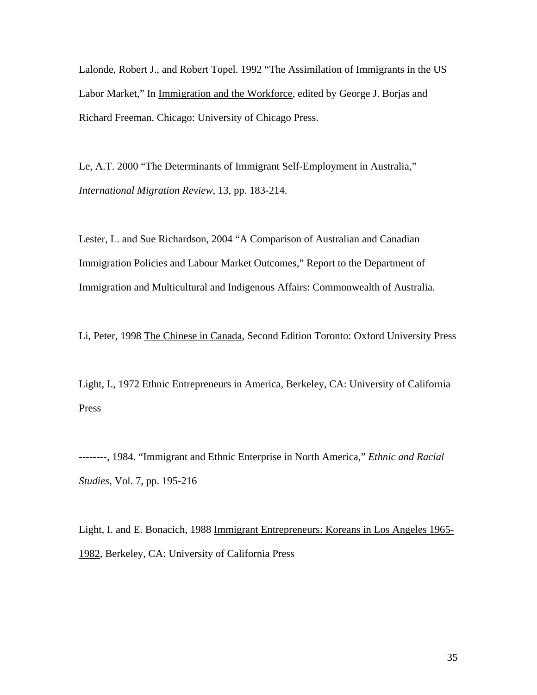Lalonde, Robert J., and Robert Topel. 1992 "The Assimilation of Immigrants in the US Labor Market," In Immigration and the Workforce, edited by George J. Borjas and Richard Freeman. Chicago: University of Chicago Press.

Le, A.T. 2000 "The Determinants of Immigrant Self-Employment in Australia," *International Migration Review*, 13, pp. 183-214.

Lester, L. and Sue Richardson, 2004 "A Comparison of Australian and Canadian Immigration Policies and Labour Market Outcomes," Report to the Department of Immigration and Multicultural and Indigenous Affairs: Commonwealth of Australia.

Li, Peter, 1998 The Chinese in Canada, Second Edition Toronto: Oxford University Press

Light, I., 1972 Ethnic Entrepreneurs in America, Berkeley, CA: University of California Press

--------, 1984. "Immigrant and Ethnic Enterprise in North America," *Ethnic and Racial Studies*, Vol. 7, pp. 195-216

Light, I. and E. Bonacich, 1988 Immigrant Entrepreneurs: Koreans in Los Angeles 1965- 1982, Berkeley, CA: University of California Press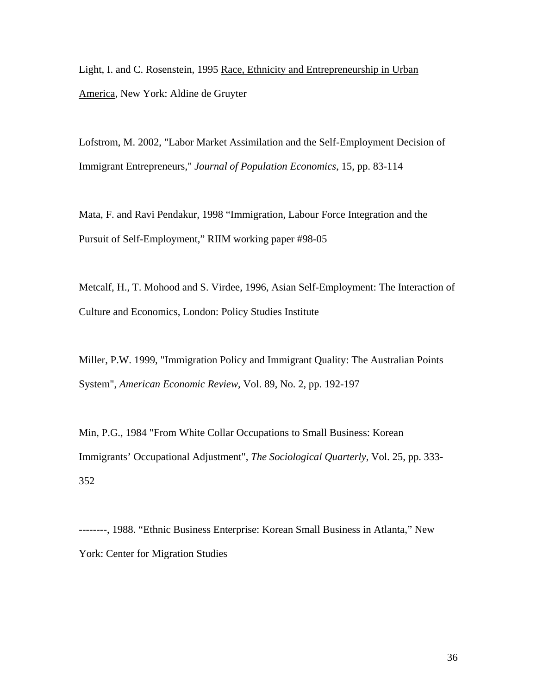Light, I. and C. Rosenstein, 1995 Race, Ethnicity and Entrepreneurship in Urban America, New York: Aldine de Gruyter

Lofstrom, M. 2002, "Labor Market Assimilation and the Self-Employment Decision of Immigrant Entrepreneurs," *Journal of Population Economics*, 15, pp. 83-114

Mata, F. and Ravi Pendakur, 1998 "Immigration, Labour Force Integration and the Pursuit of Self-Employment," RIIM working paper #98-05

Metcalf, H., T. Mohood and S. Virdee, 1996, Asian Self-Employment: The Interaction of Culture and Economics, London: Policy Studies Institute

Miller, P.W. 1999, "Immigration Policy and Immigrant Quality: The Australian Points System", *American Economic Review*, Vol. 89, No. 2, pp. 192-197

Min, P.G., 1984 "From White Collar Occupations to Small Business: Korean Immigrants' Occupational Adjustment", *The Sociological Quarterly*, Vol. 25, pp. 333- 352

--------, 1988. "Ethnic Business Enterprise: Korean Small Business in Atlanta," New York: Center for Migration Studies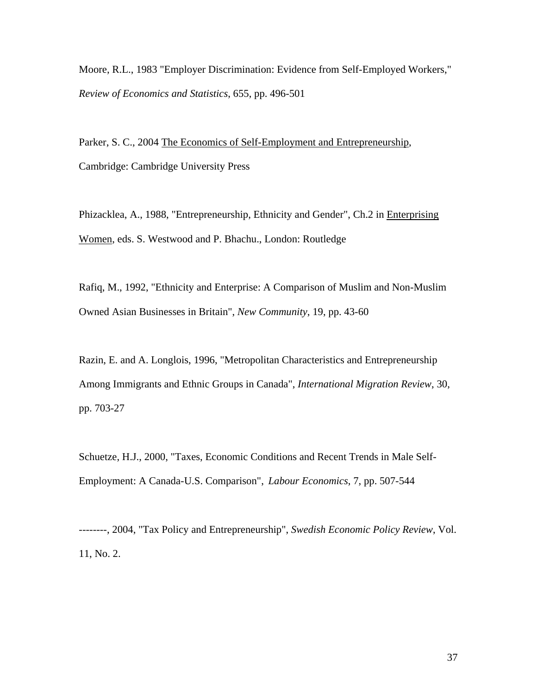Moore, R.L., 1983 "Employer Discrimination: Evidence from Self-Employed Workers," *Review of Economics and Statistics*, 655, pp. 496-501

Parker, S. C., 2004 The Economics of Self-Employment and Entrepreneurship, Cambridge: Cambridge University Press

Phizacklea, A., 1988, "Entrepreneurship, Ethnicity and Gender", Ch.2 in Enterprising Women, eds. S. Westwood and P. Bhachu., London: Routledge

Rafiq, M., 1992, "Ethnicity and Enterprise: A Comparison of Muslim and Non-Muslim Owned Asian Businesses in Britain", *New Community*, 19, pp. 43-60

Razin, E. and A. Longlois, 1996, "Metropolitan Characteristics and Entrepreneurship Among Immigrants and Ethnic Groups in Canada", *International Migration Review*, 30, pp. 703-27

Schuetze, H.J., 2000, "Taxes, Economic Conditions and Recent Trends in Male Self-Employment: A Canada-U.S. Comparison", *Labour Economics*, 7, pp. 507-544

--------, 2004, "Tax Policy and Entrepreneurship", *Swedish Economic Policy Review*, Vol. 11, No. 2.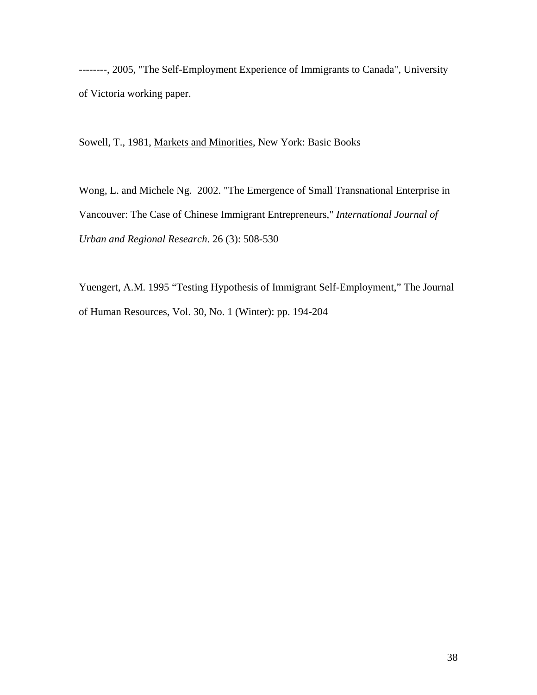--------, 2005, "The Self-Employment Experience of Immigrants to Canada", University of Victoria working paper.

Sowell, T., 1981, Markets and Minorities, New York: Basic Books

Wong, L. and Michele Ng. 2002. "The Emergence of Small Transnational Enterprise in Vancouver: The Case of Chinese Immigrant Entrepreneurs," *International Journal of Urban and Regional Research*. 26 (3): 508-530

Yuengert, A.M. 1995 "Testing Hypothesis of Immigrant Self-Employment," The Journal of Human Resources, Vol. 30, No. 1 (Winter): pp. 194-204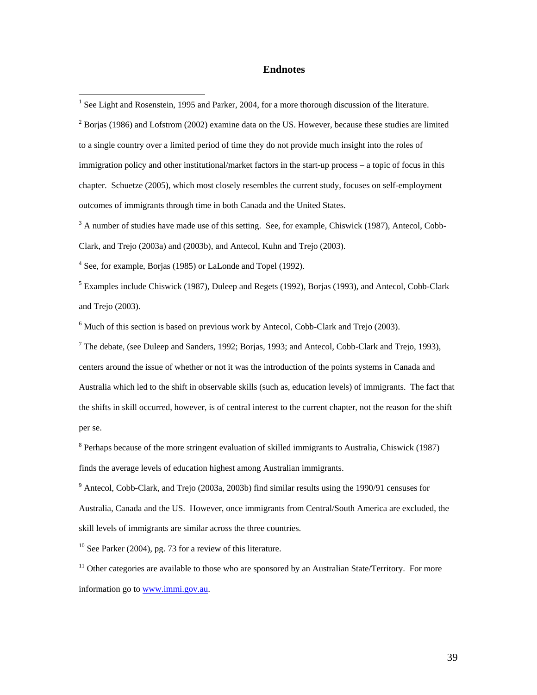#### **Endnotes**

 $2^{2}$  Borjas (1986) and Lofstrom (2002) examine data on the US. However, because these studies are limited to a single country over a limited period of time they do not provide much insight into the roles of immigration policy and other institutional/market factors in the start-up process – a topic of focus in this chapter. Schuetze (2005), which most closely resembles the current study, focuses on self-employment outcomes of immigrants through time in both Canada and the United States.

<sup>3</sup> A number of studies have made use of this setting. See, for example, Chiswick (1987), Antecol, Cobb-Clark, and Trejo (2003a) and (2003b), and Antecol, Kuhn and Trejo (2003).

<sup>4</sup> See, for example, Borjas (1985) or LaLonde and Topel (1992).

<sup>5</sup> Examples include Chiswick (1987), Duleep and Regets (1992), Borjas (1993), and Antecol, Cobb-Clark and Trejo (2003).

<sup>6</sup> Much of this section is based on previous work by Antecol, Cobb-Clark and Trejo (2003).

<sup>7</sup> The debate, (see Duleep and Sanders, 1992; Borjas, 1993; and Antecol, Cobb-Clark and Trejo, 1993), centers around the issue of whether or not it was the introduction of the points systems in Canada and Australia which led to the shift in observable skills (such as, education levels) of immigrants. The fact that the shifts in skill occurred, however, is of central interest to the current chapter, not the reason for the shift per se.

 $8$  Perhaps because of the more stringent evaluation of skilled immigrants to Australia, Chiswick (1987) finds the average levels of education highest among Australian immigrants.

<sup>9</sup> Antecol, Cobb-Clark, and Trejo (2003a, 2003b) find similar results using the 1990/91 censuses for Australia, Canada and the US. However, once immigrants from Central/South America are excluded, the skill levels of immigrants are similar across the three countries.

 $10$  See Parker (2004), pg. 73 for a review of this literature.

<sup>11</sup> Other categories are available to those who are sponsored by an Australian State/Territory. For more information go to www.immi.gov.au.

<sup>&</sup>lt;sup>1</sup> See Light and Rosenstein, 1995 and Parker, 2004, for a more thorough discussion of the literature.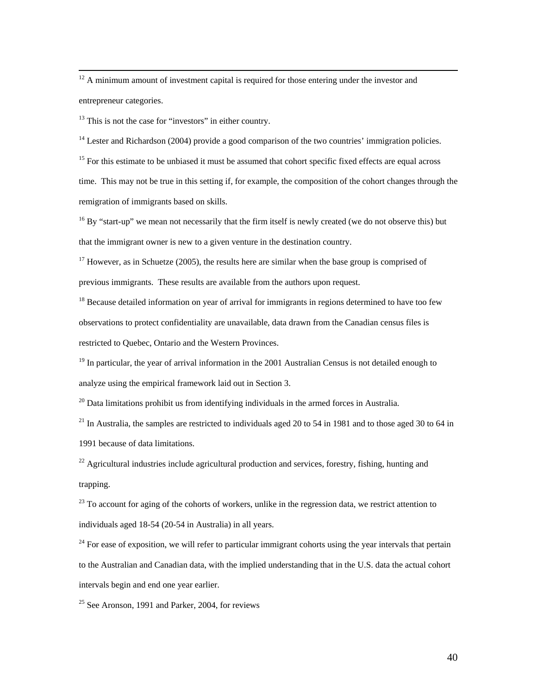$12$  A minimum amount of investment capital is required for those entering under the investor and entrepreneur categories.

 $13$  This is not the case for "investors" in either country.

 $14$  Lester and Richardson (2004) provide a good comparison of the two countries' immigration policies.

<sup>15</sup> For this estimate to be unbiased it must be assumed that cohort specific fixed effects are equal across time. This may not be true in this setting if, for example, the composition of the cohort changes through the remigration of immigrants based on skills.

 $16$  By "start-up" we mean not necessarily that the firm itself is newly created (we do not observe this) but that the immigrant owner is new to a given venture in the destination country.

<sup>17</sup> However, as in Schuetze (2005), the results here are similar when the base group is comprised of previous immigrants. These results are available from the authors upon request.

<sup>18</sup> Because detailed information on year of arrival for immigrants in regions determined to have too few observations to protect confidentiality are unavailable, data drawn from the Canadian census files is restricted to Quebec, Ontario and the Western Provinces.

 $19$  In particular, the year of arrival information in the 2001 Australian Census is not detailed enough to analyze using the empirical framework laid out in Section 3.

 $^{20}$  Data limitations prohibit us from identifying individuals in the armed forces in Australia.

<sup>21</sup> In Australia, the samples are restricted to individuals aged 20 to 54 in 1981 and to those aged 30 to 64 in 1991 because of data limitations.

 $^{22}$  Agricultural industries include agricultural production and services, forestry, fishing, hunting and trapping.

 $^{23}$  To account for aging of the cohorts of workers, unlike in the regression data, we restrict attention to individuals aged 18-54 (20-54 in Australia) in all years.

 $24$  For ease of exposition, we will refer to particular immigrant cohorts using the year intervals that pertain to the Australian and Canadian data, with the implied understanding that in the U.S. data the actual cohort intervals begin and end one year earlier.

 $25$  See Aronson, 1991 and Parker, 2004, for reviews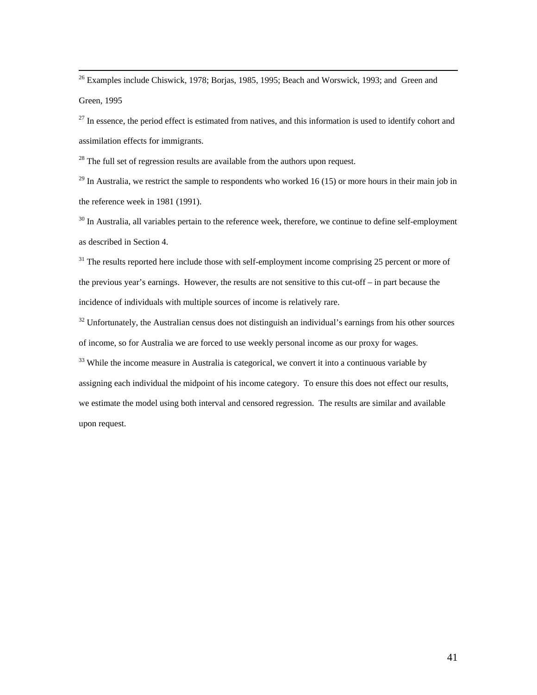<sup>26</sup> Examples include Chiswick, 1978; Borjas, 1985, 1995; Beach and Worswick, 1993; and Green and Green, 1995

 $^{27}$  In essence, the period effect is estimated from natives, and this information is used to identify cohort and assimilation effects for immigrants.

 $28$  The full set of regression results are available from the authors upon request.

<sup>29</sup> In Australia, we restrict the sample to respondents who worked 16 (15) or more hours in their main job in the reference week in 1981 (1991).

 $30$  In Australia, all variables pertain to the reference week, therefore, we continue to define self-employment as described in Section 4.

<sup>31</sup> The results reported here include those with self-employment income comprising 25 percent or more of the previous year's earnings. However, the results are not sensitive to this cut-off – in part because the incidence of individuals with multiple sources of income is relatively rare.

 $32$  Unfortunately, the Australian census does not distinguish an individual's earnings from his other sources of income, so for Australia we are forced to use weekly personal income as our proxy for wages.

 $33$  While the income measure in Australia is categorical, we convert it into a continuous variable by assigning each individual the midpoint of his income category. To ensure this does not effect our results, we estimate the model using both interval and censored regression. The results are similar and available upon request.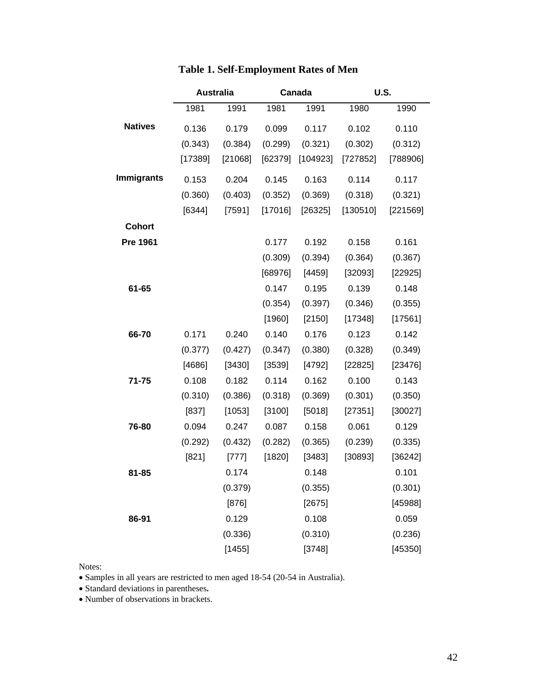|                   | <b>Australia</b> |         |         | Canada   | U.S.     |          |  |
|-------------------|------------------|---------|---------|----------|----------|----------|--|
|                   | 1981             | 1991    | 1981    | 1991     | 1980     | 1990     |  |
| <b>Natives</b>    | 0.136            | 0.179   | 0.099   | 0.117    | 0.102    | 0.110    |  |
|                   | (0.343)          | (0.384) | (0.299) | (0.321)  | (0.302)  | (0.312)  |  |
|                   | [17389]          | [21068] | [62379] | [104923] | [727852] | [788906] |  |
| <b>Immigrants</b> | 0.153            | 0.204   | 0.145   | 0.163    | 0.114    | 0.117    |  |
|                   | (0.360)          | (0.403) | (0.352) | (0.369)  | (0.318)  | (0.321)  |  |
|                   | [6344]           | [7591]  | [17016] | [26325]  | [130510] | [221569] |  |
| <b>Cohort</b>     |                  |         |         |          |          |          |  |
| <b>Pre 1961</b>   |                  |         | 0.177   | 0.192    | 0.158    | 0.161    |  |
|                   |                  |         | (0.309) | (0.394)  | (0.364)  | (0.367)  |  |
|                   |                  |         | [68976] | [4459]   | [32093]  | [22925]  |  |
| 61-65             |                  |         | 0.147   | 0.195    | 0.139    | 0.148    |  |
|                   |                  |         | (0.354) | (0.397)  | (0.346)  | (0.355)  |  |
|                   |                  |         | [1960]  | [2150]   | [17348]  | [17561]  |  |
| 66-70             | 0.171            | 0.240   | 0.140   | 0.176    | 0.123    | 0.142    |  |
|                   | (0.377)          | (0.427) | (0.347) | (0.380)  | (0.328)  | (0.349)  |  |
|                   | [4686]           | [3430]  | [3539]  | [4792]   | [22825]  | [23476]  |  |
| 71-75             | 0.108            | 0.182   | 0.114   | 0.162    | 0.100    | 0.143    |  |
|                   | (0.310)          | (0.386) | (0.318) | (0.369)  | (0.301)  | (0.350)  |  |
|                   | [837]            | [1053]  | [3100]  | [5018]   | [27351]  | [30027]  |  |
| 76-80             | 0.094            | 0.247   | 0.087   | 0.158    | 0.061    | 0.129    |  |
|                   | (0.292)          | (0.432) | (0.282) | (0.365)  | (0.239)  | (0.335)  |  |
|                   | [821]            | $[777]$ | [1820]  | [3483]   | [30893]  | [36242]  |  |
| 81-85             |                  | 0.174   |         | 0.148    |          | 0.101    |  |
|                   |                  | (0.379) |         | (0.355)  |          | (0.301)  |  |
|                   |                  | [876]   |         | [2675]   |          | [45988]  |  |
| 86-91             |                  | 0.129   |         | 0.108    |          | 0.059    |  |
|                   |                  | (0.336) |         | (0.310)  |          | (0.236)  |  |
|                   |                  | [1455]  |         | [3748]   |          | [45350]  |  |

# **Table 1. Self-Employment Rates of Men**

Notes:

• Samples in all years are restricted to men aged 18-54 (20-54 in Australia).

• Standard deviations in parentheses**.** 

• Number of observations in brackets.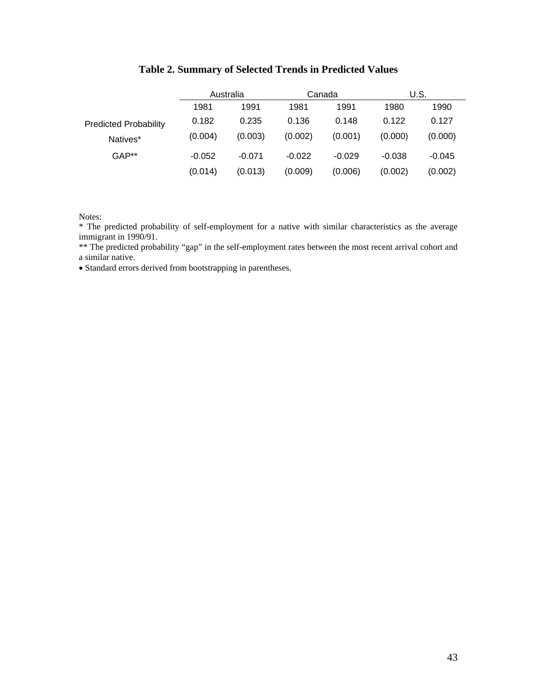|                              |          | Australia | Canada   |          | U.S.     |         |  |
|------------------------------|----------|-----------|----------|----------|----------|---------|--|
|                              | 1981     | 1991      | 1981     | 1991     | 1980     | 1990    |  |
| <b>Predicted Probability</b> | 0.182    | 0.235     | 0.136    | 0.148    | 0.122    | 0.127   |  |
| Natives*                     | (0.004)  | (0.003)   | (0.002)  | (0.001)  | (0.000)  | (0.000) |  |
| $GAP**$                      | $-0.052$ | $-0.071$  | $-0.022$ | $-0.029$ | $-0.038$ | -0.045  |  |
|                              | (0.014)  | (0.013)   | (0.009)  | (0.006)  | (0.002)  | (0.002) |  |

## **Table 2. Summary of Selected Trends in Predicted Values**

Notes:

\* The predicted probability of self-employment for a native with similar characteristics as the average immigrant in 1990/91.

\*\* The predicted probability "gap" in the self-employment rates between the most recent arrival cohort and a similar native.

• Standard errors derived from bootstrapping in parentheses.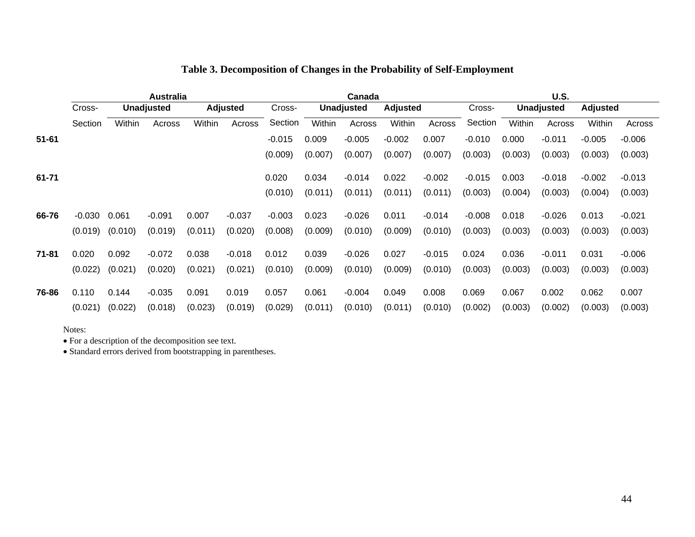|           | Australia                   |         |          |                 |          | Canada   |                   |          |                 | <b>U.S.</b> |          |                   |          |                 |          |
|-----------|-----------------------------|---------|----------|-----------------|----------|----------|-------------------|----------|-----------------|-------------|----------|-------------------|----------|-----------------|----------|
|           | Cross-<br><b>Unadjusted</b> |         |          | <b>Adjusted</b> |          | Cross-   | <b>Unadjusted</b> |          | <b>Adjusted</b> |             | Cross-   | <b>Unadjusted</b> |          | <b>Adjusted</b> |          |
|           | Section                     | Within  | Across   | Within          | Across   | Section  | Within            | Across   | Within          | Across      | Section  | Within            | Across   | Within          | Across   |
| $51 - 61$ |                             |         |          |                 |          | $-0.015$ | 0.009             | $-0.005$ | $-0.002$        | 0.007       | $-0.010$ | 0.000             | $-0.011$ | $-0.005$        | $-0.006$ |
|           |                             |         |          |                 |          | (0.009)  | (0.007)           | (0.007)  | (0.007)         | (0.007)     | (0.003)  | (0.003)           | (0.003)  | (0.003)         | (0.003)  |
| $61 - 71$ |                             |         |          |                 |          | 0.020    | 0.034             | $-0.014$ | 0.022           | $-0.002$    | $-0.015$ | 0.003             | $-0.018$ | $-0.002$        | $-0.013$ |
|           |                             |         |          |                 |          | (0.010)  | (0.011)           | (0.011)  | (0.011)         | (0.011)     | (0.003)  | (0.004)           | (0.003)  | (0.004)         | (0.003)  |
| 66-76     | $-0.030$                    | 0.061   | $-0.091$ | 0.007           | $-0.037$ | $-0.003$ | 0.023             | $-0.026$ | 0.011           | $-0.014$    | $-0.008$ | 0.018             | $-0.026$ | 0.013           | $-0.021$ |
|           | (0.019)                     | (0.010) | (0.019)  | (0.011)         | (0.020)  | (0.008)  | (0.009)           | (0.010)  | (0.009)         | (0.010)     | (0.003)  | (0.003)           | (0.003)  | (0.003)         | (0.003)  |
| $71 - 81$ | 0.020                       | 0.092   | $-0.072$ | 0.038           | $-0.018$ | 0.012    | 0.039             | $-0.026$ | 0.027           | $-0.015$    | 0.024    | 0.036             | $-0.011$ | 0.031           | $-0.006$ |
|           | (0.022)                     | (0.021) | (0.020)  | (0.021)         | (0.021)  | (0.010)  | (0.009)           | (0.010)  | (0.009)         | (0.010)     | (0.003)  | (0.003)           | (0.003)  | (0.003)         | (0.003)  |
| 76-86     | 0.110                       | 0.144   | $-0.035$ | 0.091           | 0.019    | 0.057    | 0.061             | $-0.004$ | 0.049           | 0.008       | 0.069    | 0.067             | 0.002    | 0.062           | 0.007    |
|           | (0.021)                     | (0.022) | (0.018)  | (0.023)         | (0.019)  | (0.029)  | (0.011)           | (0.010)  | (0.011)         | (0.010)     | (0.002)  | (0.003)           | (0.002)  | (0.003)         | (0.003)  |

# **Table 3. Decomposition of Changes in the Probability of Self-Employment**

Notes:

• For a description of the decomposition see text.

• Standard errors derived from bootstrapping in parentheses.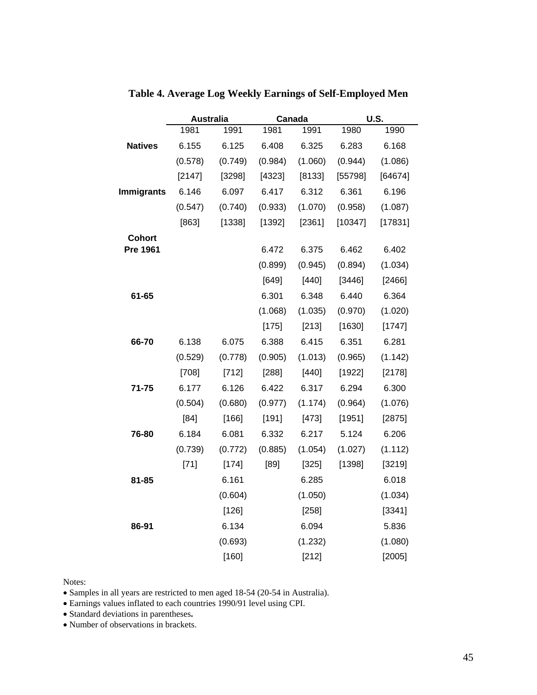|                   | <b>Australia</b> |         | Canada  |         | U.S.    |         |  |
|-------------------|------------------|---------|---------|---------|---------|---------|--|
|                   | 1981             | 1991    | 1981    | 1991    | 1980    | 1990    |  |
| <b>Natives</b>    | 6.155            | 6.125   | 6.408   | 6.325   | 6.283   | 6.168   |  |
|                   | (0.578)          | (0.749) | (0.984) | (1.060) | (0.944) | (1.086) |  |
|                   | [2147]           | [3298]  | [4323]  | [8133]  | [55798] | [64674] |  |
| <b>Immigrants</b> | 6.146            | 6.097   | 6.417   | 6.312   | 6.361   | 6.196   |  |
|                   | (0.547)          | (0.740) | (0.933) | (1.070) | (0.958) | (1.087) |  |
|                   | [863]            | [1338]  | [1392]  | [2361]  | [10347] | [17831] |  |
| <b>Cohort</b>     |                  |         |         |         |         |         |  |
| <b>Pre 1961</b>   |                  |         | 6.472   | 6.375   | 6.462   | 6.402   |  |
|                   |                  |         | (0.899) | (0.945) | (0.894) | (1.034) |  |
|                   |                  |         | [649]   | [440]   | [3446]  | [2466]  |  |
| 61-65             |                  |         | 6.301   | 6.348   | 6.440   | 6.364   |  |
|                   |                  |         | (1.068) | (1.035) | (0.970) | (1.020) |  |
|                   |                  |         | [175]   | [213]   | [1630]  | [1747]  |  |
| 66-70             | 6.138            | 6.075   | 6.388   | 6.415   | 6.351   | 6.281   |  |
|                   | (0.529)          | (0.778) | (0.905) | (1.013) | (0.965) | (1.142) |  |
|                   | [708]            | [712]   | [288]   | [440]   | [1922]  | [2178]  |  |
| 71-75             | 6.177            | 6.126   | 6.422   | 6.317   | 6.294   | 6.300   |  |
|                   | (0.504)          | (0.680) | (0.977) | (1.174) | (0.964) | (1.076) |  |
|                   | $[84]$           | [166]   | [191]   | [473]   | [1951]  | [2875]  |  |
| 76-80             | 6.184            | 6.081   | 6.332   | 6.217   | 5.124   | 6.206   |  |
|                   | (0.739)          | (0.772) | (0.885) | (1.054) | (1.027) | (1.112) |  |
|                   | $[71]$           | [174]   | [89]    | [325]   | [1398]  | [3219]  |  |
| 81-85             |                  | 6.161   |         | 6.285   |         | 6.018   |  |
|                   |                  | (0.604) |         | (1.050) |         | (1.034) |  |
|                   |                  | [126]   |         | [258]   |         | [3341]  |  |
| 86-91             |                  | 6.134   |         | 6.094   |         | 5.836   |  |
|                   |                  | (0.693) |         | (1.232) |         | (1.080) |  |
|                   |                  | [160]   |         | [212]   |         | [2005]  |  |

**Table 4. Average Log Weekly Earnings of Self-Employed Men** 

Notes:

• Samples in all years are restricted to men aged 18-54 (20-54 in Australia).

• Earnings values inflated to each countries 1990/91 level using CPI.

• Standard deviations in parentheses**.** 

• Number of observations in brackets.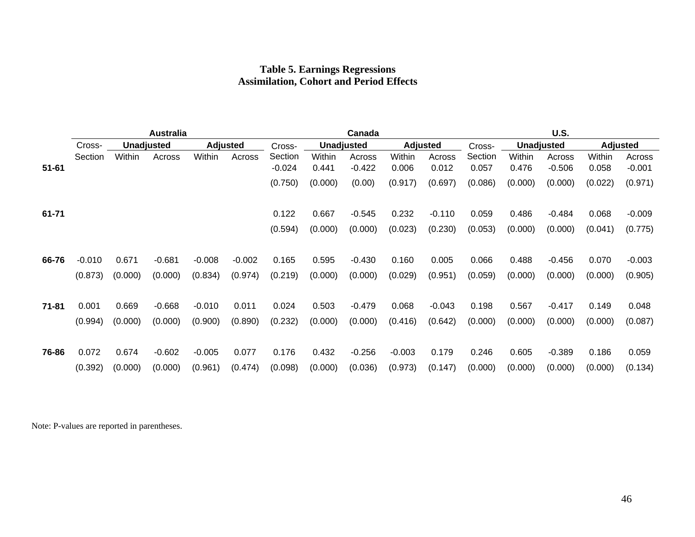### **Table 5. Earnings Regressions Assimilation, Cohort and Period Effects**

|           | <b>Australia</b> |         |                   |          |                 | Canada              |                 |                    |                 | <b>U.S.</b>     |                  |                 |                    |                 |                    |
|-----------|------------------|---------|-------------------|----------|-----------------|---------------------|-----------------|--------------------|-----------------|-----------------|------------------|-----------------|--------------------|-----------------|--------------------|
|           | Cross-           |         | <b>Unadjusted</b> |          | <b>Adjusted</b> | Cross-              |                 | <b>Unadjusted</b>  |                 | <b>Adjusted</b> | Cross-           |                 | <b>Unadjusted</b>  | <b>Adjusted</b> |                    |
| $51 - 61$ | Section          | Within  | Across            | Within   | Across          | Section<br>$-0.024$ | Within<br>0.441 | Across<br>$-0.422$ | Within<br>0.006 | Across<br>0.012 | Section<br>0.057 | Within<br>0.476 | Across<br>$-0.506$ | Within<br>0.058 | Across<br>$-0.001$ |
|           |                  |         |                   |          |                 | (0.750)             | (0.000)         | (0.00)             | (0.917)         | (0.697)         | (0.086)          | (0.000)         | (0.000)            | (0.022)         | (0.971)            |
| 61-71     |                  |         |                   |          |                 | 0.122               | 0.667           | $-0.545$           | 0.232           | $-0.110$        | 0.059            | 0.486           | $-0.484$           | 0.068           | $-0.009$           |
|           |                  |         |                   |          |                 | (0.594)             | (0.000)         | (0.000)            | (0.023)         | (0.230)         | (0.053)          | (0.000)         | (0.000)            | (0.041)         | (0.775)            |
| 66-76     | $-0.010$         | 0.671   | $-0.681$          | $-0.008$ | $-0.002$        | 0.165               | 0.595           | $-0.430$           | 0.160           | 0.005           | 0.066            | 0.488           | $-0.456$           | 0.070           | $-0.003$           |
|           | (0.873)          | (0.000) | (0.000)           | (0.834)  | (0.974)         | (0.219)             | (0.000)         | (0.000)            | (0.029)         | (0.951)         | (0.059)          | (0.000)         | (0.000)            | (0.000)         | (0.905)            |
| $71 - 81$ | 0.001            | 0.669   | $-0.668$          | $-0.010$ | 0.011           | 0.024               | 0.503           | $-0.479$           | 0.068           | $-0.043$        | 0.198            | 0.567           | $-0.417$           | 0.149           | 0.048              |
|           | (0.994)          | (0.000) | (0.000)           | (0.900)  | (0.890)         | (0.232)             | (0.000)         | (0.000)            | (0.416)         | (0.642)         | (0.000)          | (0.000)         | (0.000)            | (0.000)         | (0.087)            |
| 76-86     | 0.072            | 0.674   | $-0.602$          | $-0.005$ | 0.077           | 0.176               | 0.432           | $-0.256$           | $-0.003$        | 0.179           | 0.246            | 0.605           | $-0.389$           | 0.186           | 0.059              |
|           |                  |         |                   |          |                 |                     |                 |                    |                 |                 |                  |                 |                    |                 |                    |
|           | (0.392)          | (0.000) | (0.000)           | (0.961)  | (0.474)         | (0.098)             | (0.000)         | (0.036)            | (0.973)         | (0.147)         | (0.000)          | (0.000)         | (0.000)            | (0.000)         | (0.134)            |

Note: P-values are reported in parentheses.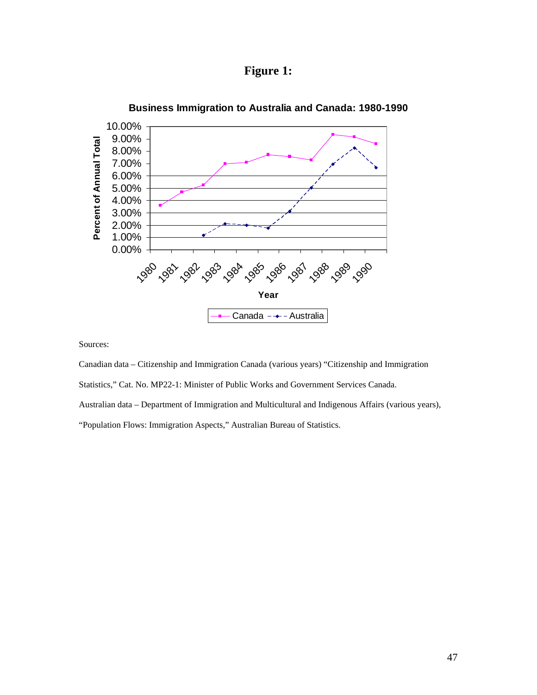



## **Business Immigration to Australia and Canada: 1980-1990**

Sources:

Canadian data – Citizenship and Immigration Canada (various years) "Citizenship and Immigration

Statistics," Cat. No. MP22-1: Minister of Public Works and Government Services Canada.

Australian data – Department of Immigration and Multicultural and Indigenous Affairs (various years),

"Population Flows: Immigration Aspects," Australian Bureau of Statistics.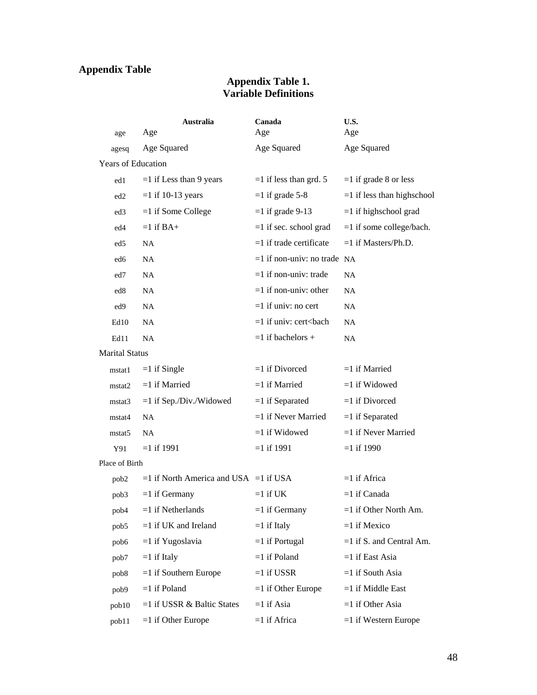# **Appendix Table**

## **Appendix Table 1. Variable Definitions**

| age                           | <b>Australia</b><br>Age                   | Canada<br>Age                 | U.S.<br>Age                  |
|-------------------------------|-------------------------------------------|-------------------------------|------------------------------|
| agesq                         | Age Squared                               | Age Squared                   | Age Squared                  |
| <b>Years of Education</b>     |                                           |                               |                              |
| ed1                           | $=1$ if Less than 9 years                 | $=1$ if less than grd. 5      | $=1$ if grade 8 or less      |
| ed <sub>2</sub>               | $=1$ if 10-13 years                       | $=1$ if grade 5-8             | $=1$ if less than highschool |
| ed3                           | $=1$ if Some College                      | $=1$ if grade 9-13            | $=1$ if highschool grad      |
| ed4                           | $=1$ if BA+                               | $=1$ if sec. school grad      | $=1$ if some college/bach.   |
| ed5                           | NA                                        | $=1$ if trade certificate     | $=1$ if Masters/Ph.D.        |
| ed6                           | NA                                        | $=1$ if non-univ: no trade NA |                              |
| ed7                           | NA                                        | $=1$ if non-univ: trade       | <b>NA</b>                    |
| ed8                           | NA                                        | $=1$ if non-univ: other       | <b>NA</b>                    |
| ed9                           | NA                                        | $=1$ if univ: no cert         | <b>NA</b>                    |
| Ed10                          | <b>NA</b>                                 | $=1$ if univ: cert<br>bach    | <b>NA</b>                    |
|                               | <b>NA</b>                                 | $=1$ if bachelors +           | <b>NA</b>                    |
| Ed11<br><b>Marital Status</b> |                                           |                               |                              |
|                               |                                           |                               |                              |
| mstat1                        | $=1$ if Single                            | $=1$ if Divorced              | $=1$ if Married              |
| mstat2                        | $=1$ if Married                           | $=1$ if Married               | $=1$ if Widowed              |
| mstat3                        | $=1$ if Sep./Div./Widowed                 | $=1$ if Separated             | $=1$ if Divorced             |
| mstat4                        | <b>NA</b>                                 | $=1$ if Never Married         | $=1$ if Separated            |
| mstat5                        | <b>NA</b>                                 | $=1$ if Widowed               | $=1$ if Never Married        |
| Y91                           | $=1$ if 1991                              | $=1$ if 1991                  | $=1$ if 1990                 |
| Place of Birth                |                                           |                               |                              |
| pob <sub>2</sub>              | $=1$ if North America and USA $=1$ if USA |                               | $=1$ if Africa               |
| pob <sub>3</sub>              | $=1$ if Germany                           | $=1$ if UK                    | $=1$ if Canada               |
| pob <sub>4</sub>              | $=1$ if Netherlands                       | $=1$ if Germany               | $=1$ if Other North Am.      |
| pob5                          | $=1$ if UK and Ireland                    | $=1$ if Italy                 | $=1$ if Mexico               |
| pob6                          | $=1$ if Yugoslavia                        | $=1$ if Portugal              | $=1$ if S. and Central Am.   |
| pob7                          | $=1$ if Italy                             | $=1$ if Poland                | $=1$ if East Asia            |
| pob8                          | $=1$ if Southern Europe                   | $=1$ if USSR                  | $=1$ if South Asia           |
| pob9                          | $=1$ if Poland                            | $=1$ if Other Europe          | $=1$ if Middle East          |
| pob10                         | $=1$ if USSR & Baltic States              | $=1$ if Asia                  | $=1$ if Other Asia           |
| pob11                         | $=1$ if Other Europe                      | $=1$ if Africa                | $=1$ if Western Europe       |